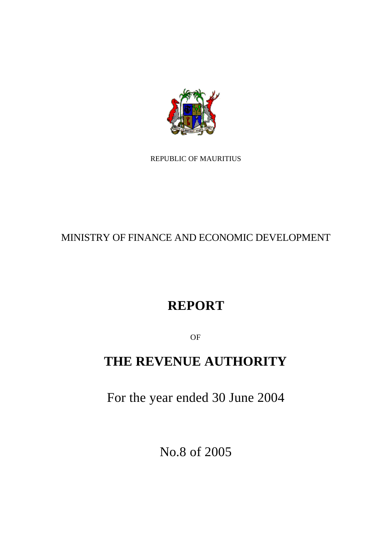

REPUBLIC OF MAURITIUS

# MINISTRY OF FINANCE AND ECONOMIC DEVELOPMENT

# **REPORT**

OF

# **THE REVENUE AUTHORITY**

For the year ended 30 June 2004

No.8 of 2005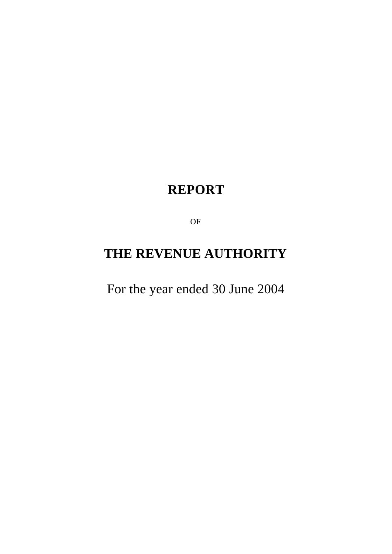# **REPORT**

OF

# **THE REVENUE AUTHORITY**

For the year ended 30 June 2004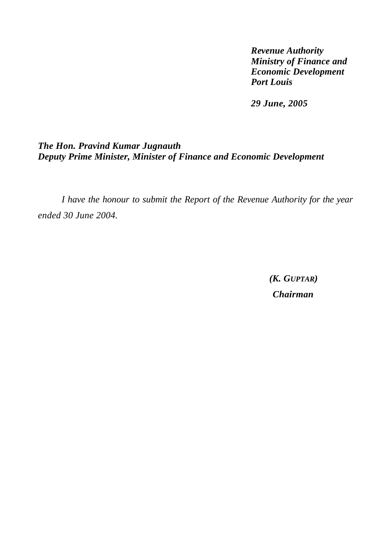*Revenue Authority Ministry of Finance and Economic Development Port Louis*

*29 June, 2005*

# *The Hon. Pravind Kumar Jugnauth Deputy Prime Minister, Minister of Finance and Economic Development*

*I have the honour to submit the Report of the Revenue Authority for the year ended 30 June 2004.*

> *(K. GUPTAR) Chairman*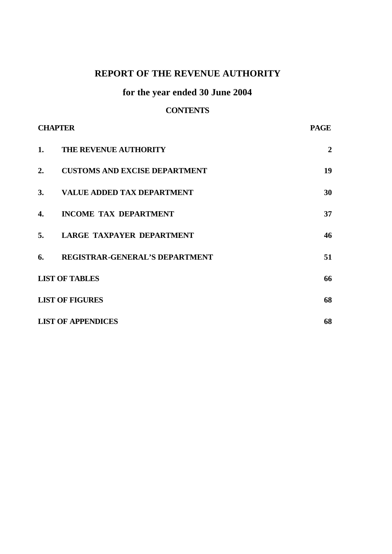# **REPORT OF THE REVENUE AUTHORITY**

# **for the year ended 30 June 2004**

# **CONTENTS**

| <b>CHAPTER</b> |                                       | <b>PAGE</b>    |
|----------------|---------------------------------------|----------------|
| 1.             | <b>THE REVENUE AUTHORITY</b>          | $\overline{2}$ |
| 2.             | <b>CUSTOMS AND EXCISE DEPARTMENT</b>  | 19             |
|                | 3. VALUE ADDED TAX DEPARTMENT         | 30             |
| 4.             | <b>INCOME TAX DEPARTMENT</b>          | 37             |
| 5.             | LARGE TAXPAYER DEPARTMENT             | 46             |
| 6.             | <b>REGISTRAR-GENERAL'S DEPARTMENT</b> | 51             |
|                | <b>LIST OF TABLES</b>                 | 66             |
|                | <b>LIST OF FIGURES</b>                | 68             |
|                | <b>LIST OF APPENDICES</b>             | 68             |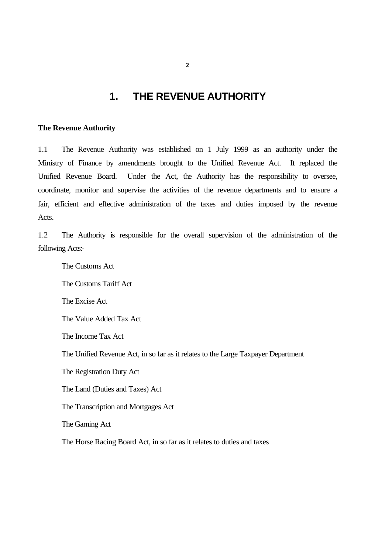# **1. THE REVENUE AUTHORITY**

### **The Revenue Authority**

1.1 The Revenue Authority was established on 1 July 1999 as an authority under the Ministry of Finance by amendments brought to the Unified Revenue Act. It replaced the Unified Revenue Board. Under the Act, the Authority has the responsibility to oversee, coordinate, monitor and supervise the activities of the revenue departments and to ensure a fair, efficient and effective administration of the taxes and duties imposed by the revenue Acts.

1.2 The Authority is responsible for the overall supervision of the administration of the following Acts:-

The Customs Act The Customs Tariff Act The Excise Act The Value Added Tax Act The Income Tax Act The Unified Revenue Act, in so far as it relates to the Large Taxpayer Department The Registration Duty Act The Land (Duties and Taxes) Act The Transcription and Mortgages Act The Gaming Act The Horse Racing Board Act, in so far as it relates to duties and taxes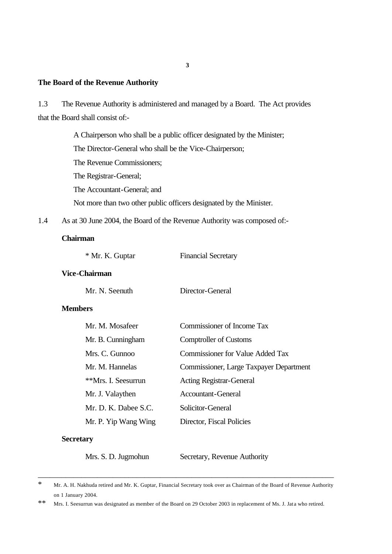## **The Board of the Revenue Authority**

1.3 The Revenue Authority is administered and managed by a Board. The Act provides that the Board shall consist of:-

> A Chairperson who shall be a public officer designated by the Minister; The Director-General who shall be the Vice-Chairperson; The Revenue Commissioners; The Registrar-General; The Accountant-General; and Not more than two other public officers designated by the Minister.

1.4 As at 30 June 2004, the Board of the Revenue Authority was composed of:-

### **Chairman**

| * Mr. K. Guptar | <b>Financial Secretary</b> |
|-----------------|----------------------------|
|-----------------|----------------------------|

### **Vice-Chairman**

Mr. N. Seenuth Director-General

### **Members**

| Mr. M. Mosafeer      | Commissioner of Income Tax              |
|----------------------|-----------------------------------------|
| Mr. B. Cunningham    | <b>Comptroller of Customs</b>           |
| Mrs. C. Gunnoo       | <b>Commissioner for Value Added Tax</b> |
| Mr. M. Hannelas      | Commissioner, Large Taxpayer Department |
| **Mrs. I. Seesurrun  | <b>Acting Registrar-General</b>         |
| Mr. J. Valaythen     | Accountant-General                      |
| Mr. D. K. Dabee S.C. | Solicitor-General                       |
| Mr. P. Yip Wang Wing | Director, Fiscal Policies               |
| <b>Secretary</b>     |                                         |

Mrs. S. D. Jugmohun Secretary, Revenue Authority

\_\_\_\_\_\_\_\_\_\_\_\_\_\_\_\_\_\_\_\_\_\_\_\_\_\_\_\_\_\_\_\_\_\_\_\_\_\_\_\_\_\_\_\_\_\_\_\_\_\_\_\_\_\_\_\_\_\_\_\_\_\_\_\_\_\_\_\_\_\_\_\_\_\_\_

<sup>\*</sup> Mr. A. H. Nakhuda retired and Mr. K. Guptar, Financial Secretary took over as Chairman of the Board of Revenue Authority on 1 January 2004.

<sup>\*\*</sup> Mrs. I. Seesurrun was designated as member of the Board on 29 October 2003 in replacement of Ms. J. Jata who retired.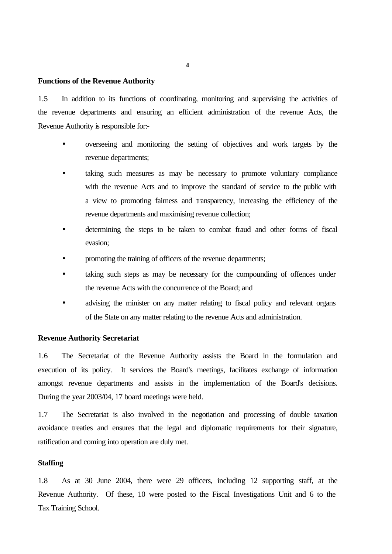#### **Functions of the Revenue Authority**

1.5 In addition to its functions of coordinating, monitoring and supervising the activities of the revenue departments and ensuring an efficient administration of the revenue Acts, the Revenue Authority is responsible for:-

- overseeing and monitoring the setting of objectives and work targets by the revenue departments;
- taking such measures as may be necessary to promote voluntary compliance with the revenue Acts and to improve the standard of service to the public with a view to promoting fairness and transparency, increasing the efficiency of the revenue departments and maximising revenue collection;
- determining the steps to be taken to combat fraud and other forms of fiscal evasion;
- promoting the training of officers of the revenue departments;
- taking such steps as may be necessary for the compounding of offences under the revenue Acts with the concurrence of the Board; and
- advising the minister on any matter relating to fiscal policy and relevant organs of the State on any matter relating to the revenue Acts and administration.

### **Revenue Authority Secretariat**

1.6 The Secretariat of the Revenue Authority assists the Board in the formulation and execution of its policy. It services the Board's meetings, facilitates exchange of information amongst revenue departments and assists in the implementation of the Board's decisions. During the year 2003/04, 17 board meetings were held.

1.7 The Secretariat is also involved in the negotiation and processing of double taxation avoidance treaties and ensures that the legal and diplomatic requirements for their signature, ratification and coming into operation are duly met.

### **Staffing**

1.8 As at 30 June 2004, there were 29 officers, including 12 supporting staff, at the Revenue Authority. Of these, 10 were posted to the Fiscal Investigations Unit and 6 to the Tax Training School.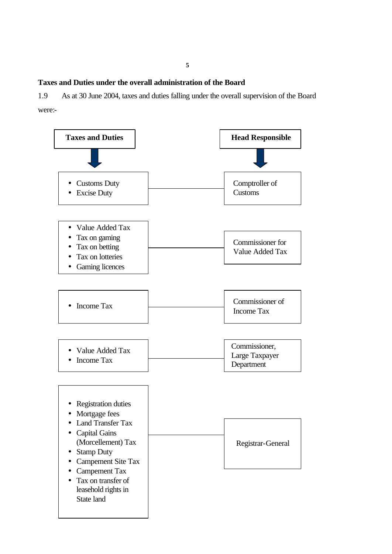**Taxes and Duties under the overall administration of the Board**

1.9 As at 30 June 2004, taxes and duties falling under the overall supervision of the Board were:-

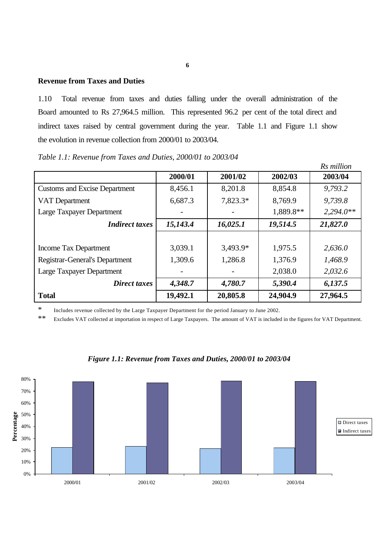# **Revenue from Taxes and Duties**

1.10 Total revenue from taxes and duties falling under the overall administration of the Board amounted to Rs 27,964.5 million. This represented 96.2 per cent of the total direct and indirect taxes raised by central government during the year. Table 1.1 and Figure 1.1 show the evolution in revenue collection from 2000/01 to 2003/04.

|                                       |          |          |           | Rs million  |
|---------------------------------------|----------|----------|-----------|-------------|
|                                       | 2000/01  | 2001/02  | 2002/03   | 2003/04     |
| <b>Customs and Excise Department</b>  | 8,456.1  | 8,201.8  | 8,854.8   | 9,793.2     |
| VAT Department                        | 6,687.3  | 7,823.3* | 8,769.9   | 9,739.8     |
| Large Taxpayer Department             |          |          | 1,889.8** | $2,294.0**$ |
| <b>Indirect taxes</b>                 | 15,143.4 | 16,025.1 | 19,514.5  | 21,827.0    |
|                                       |          |          |           |             |
| Income Tax Department                 | 3,039.1  | 3,493.9* | 1,975.5   | 2,636.0     |
| <b>Registrar-General's Department</b> | 1,309.6  | 1,286.8  | 1,376.9   | 1,468.9     |
| Large Taxpayer Department             |          |          | 2,038.0   | 2,032.6     |
| Direct taxes                          | 4,348.7  | 4,780.7  | 5,390.4   | 6,137.5     |
| <b>Total</b>                          | 19,492.1 | 20,805.8 | 24,904.9  | 27,964.5    |

*Table 1.1: Revenue from Taxes and Duties, 2000/01 to 2003/04*

\* Includes revenue collected by the Large Taxpayer Department for the period January to June 2002.

\*\* Excludes VAT collected at importation in respect of Large Taxpayers. The amount of VAT is included in the figures for VAT Department.



*Figure 1.1: Revenue from Taxes and Duties, 2000/01 to 2003/04*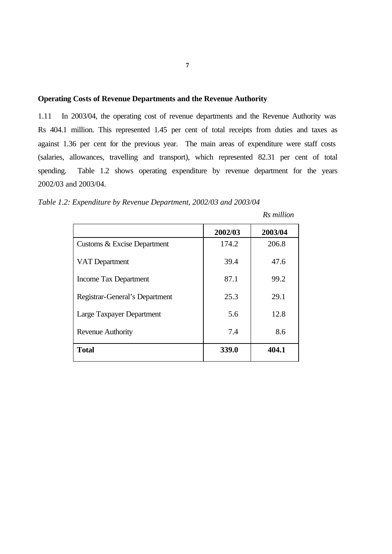# **Operating Costs of Revenue Departments and the Revenue Authority**

1.11 In 2003/04, the operating cost of revenue departments and the Revenue Authority was Rs 404.1 million. This represented 1.45 per cent of total receipts from duties and taxes as against 1.36 per cent for the previous year. The main areas of expenditure were staff costs (salaries, allowances, travelling and transport), which represented 82.31 per cent of total spending. Table 1.2 shows operating expenditure by revenue department for the years 2002/03 and 2003/04.

*Table 1.2: Expenditure by Revenue Department, 2002/03 and 2003/04*

|                                | 2002/03 | 2003/04 |
|--------------------------------|---------|---------|
| Customs & Excise Department    | 174.2   | 206.8   |
| <b>VAT Department</b>          | 39.4    | 47.6    |
| <b>Income Tax Department</b>   | 87.1    | 99.2    |
| Registrar-General's Department | 25.3    | 29.1    |
| Large Taxpayer Department      | 5.6     | 12.8    |
| <b>Revenue Authority</b>       | 7.4     | 8.6     |
| <b>Total</b>                   | 339.0   | 404.1   |

 *Rs million*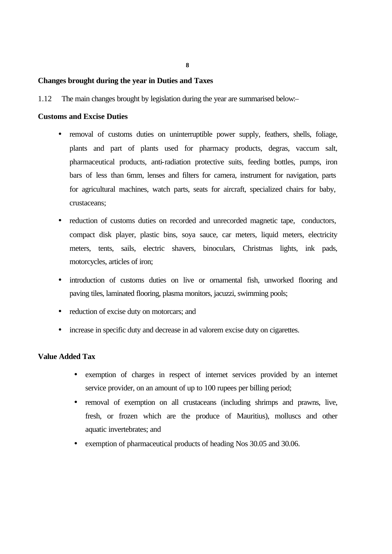### **Changes brought during the year in Duties and Taxes**

1.12 The main changes brought by legislation during the year are summarised below:–

### **Customs and Excise Duties**

- removal of customs duties on uninterruptible power supply, feathers, shells, foliage, plants and part of plants used for pharmacy products, degras, vaccum salt, pharmaceutical products, anti-radiation protective suits, feeding bottles, pumps, iron bars of less than 6mm, lenses and filters for camera, instrument for navigation, parts for agricultural machines, watch parts, seats for aircraft, specialized chairs for baby, crustaceans;
- reduction of customs duties on recorded and unrecorded magnetic tape, conductors, compact disk player, plastic bins, soya sauce, car meters, liquid meters, electricity meters, tents, sails, electric shavers, binoculars, Christmas lights, ink pads, motorcycles, articles of iron;
- introduction of customs duties on live or ornamental fish, unworked flooring and paving tiles, laminated flooring, plasma monitors, jacuzzi, swimming pools;
- reduction of excise duty on motorcars; and
- increase in specific duty and decrease in ad valorem excise duty on cigarettes.

# **Value Added Tax**

- exemption of charges in respect of internet services provided by an internet service provider, on an amount of up to 100 rupees per billing period;
- removal of exemption on all crustaceans (including shrimps and prawns, live, fresh, or frozen which are the produce of Mauritius), molluscs and other aquatic invertebrates; and
- exemption of pharmaceutical products of heading Nos 30.05 and 30.06.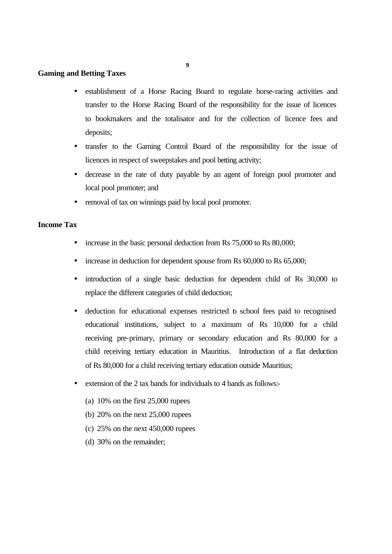**9**

### **Gaming and Betting Taxes**

- establishment of a Horse Racing Board to regulate horse-racing activities and transfer to the Horse Racing Board of the responsibility for the issue of licences to bookmakers and the totalisator and for the collection of licence fees and deposits;
- transfer to the Gaming Control Board of the responsibility for the issue of licences in respect of sweepstakes and pool betting activity;
- decrease in the rate of duty payable by an agent of foreign pool promoter and local pool promoter; and
- removal of tax on winnings paid by local pool promoter.

# **Income Tax**

- increase in the basic personal deduction from Rs 75,000 to Rs 80,000;
- increase in deduction for dependent spouse from Rs 60,000 to Rs 65,000;
- introduction of a single basic deduction for dependent child of Rs 30,000 to replace the different categories of child deduction;
- deduction for educational expenses restricted to school fees paid to recognised educational institutions, subject to a maximum of Rs 10,000 for a child receiving pre-primary, primary or secondary education and Rs 80,000 for a child receiving tertiary education in Mauritius. Introduction of a flat deduction of Rs 80,000 for a child receiving tertiary education outside Mauritius;
- extension of the 2 tax bands for individuals to 4 bands as follows:-
	- (a) 10% on the first 25,000 rupees
	- (b) 20% on the next 25,000 rupees
	- (c)  $25\%$  on the next  $450,000$  rupees
	- (d) 30% on the remainder;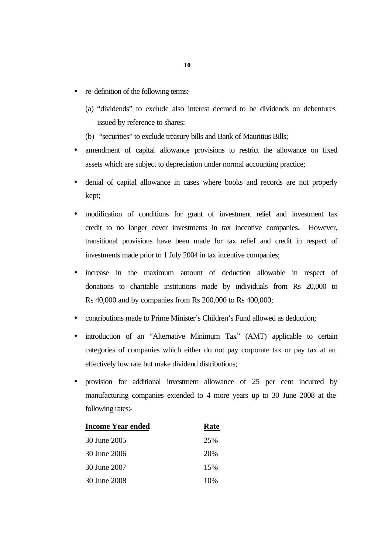- re-definition of the following terms:-
	- (a) "dividends" to exclude also interest deemed to be dividends on debentures issued by reference to shares;
	- (b) "securities" to exclude treasury bills and Bank of Mauritius Bills;
- amendment of capital allowance provisions to restrict the allowance on fixed assets which are subject to depreciation under normal accounting practice;
- denial of capital allowance in cases where books and records are not properly kept;
- modification of conditions for grant of investment relief and investment tax credit to no longer cover investments in tax incentive companies. However, transitional provisions have been made for tax relief and credit in respect of investments made prior to 1 July 2004 in tax incentive companies;
- increase in the maximum amount of deduction allowable in respect of donations to charitable institutions made by individuals from Rs 20,000 to Rs 40,000 and by companies from Rs 200,000 to Rs 400,000;
- contributions made to Prime Minister's Children's Fund allowed as deduction;
- introduction of an "Alternative Minimum Tax" (AMT) applicable to certain categories of companies which either do not pay corporate tax or pay tax at an effectively low rate but make dividend distributions;
- provision for additional investment allowance of 25 per cent incurred by manufacturing companies extended to 4 more years up to 30 June 2008 at the following rates:-

| <b>Income Year ended</b> | Rate |
|--------------------------|------|
| 30 June 2005             | 25%  |
| 30 June 2006             | 20%  |
| 30 June 2007             | 15%  |
| 30 June 2008             | 10%  |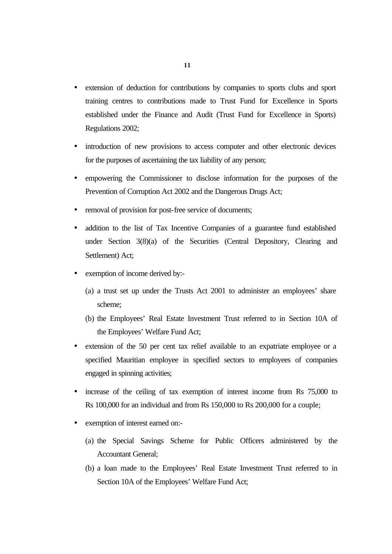- extension of deduction for contributions by companies to sports clubs and sport training centres to contributions made to Trust Fund for Excellence in Sports established under the Finance and Audit (Trust Fund for Excellence in Sports) Regulations 2002;
- introduction of new provisions to access computer and other electronic devices for the purposes of ascertaining the tax liability of any person;
- empowering the Commissioner to disclose information for the purposes of the Prevention of Corruption Act 2002 and the Dangerous Drugs Act;
- removal of provision for post-free service of documents;
- addition to the list of Tax Incentive Companies of a guarantee fund established under Section 3(8)(a) of the Securities (Central Depository, Clearing and Settlement) Act;
- exemption of income derived by:-
	- (a) a trust set up under the Trusts Act 2001 to administer an employees' share scheme;
	- (b) the Employees' Real Estate Investment Trust referred to in Section 10A of the Employees' Welfare Fund Act;
- extension of the 50 per cent tax relief available to an expatriate employee or a specified Mauritian employee in specified sectors to employees of companies engaged in spinning activities;
- increase of the ceiling of tax exemption of interest income from Rs 75,000 to Rs 100,000 for an individual and from Rs 150,000 to Rs 200,000 for a couple;
- exemption of interest earned on:-
	- (a) the Special Savings Scheme for Public Officers administered by the Accountant General;
	- (b) a loan made to the Employees' Real Estate Investment Trust referred to in Section 10A of the Employees' Welfare Fund Act;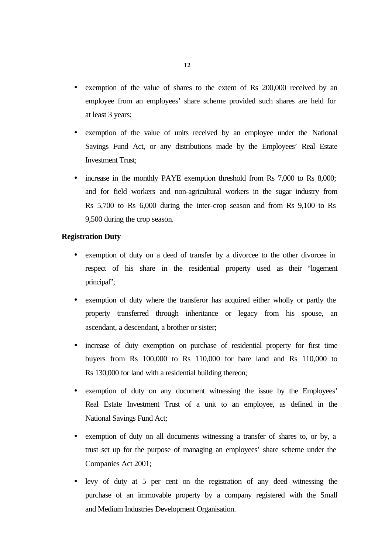- exemption of the value of shares to the extent of Rs 200,000 received by an employee from an employees' share scheme provided such shares are held for at least 3 years;
- exemption of the value of units received by an employee under the National Savings Fund Act, or any distributions made by the Employees' Real Estate Investment Trust;
- increase in the monthly PAYE exemption threshold from Rs 7,000 to Rs 8,000; and for field workers and non-agricultural workers in the sugar industry from Rs 5,700 to Rs 6,000 during the inter-crop season and from Rs 9,100 to Rs 9,500 during the crop season.

# **Registration Duty**

- exemption of duty on a deed of transfer by a divorcee to the other divorcee in respect of his share in the residential property used as their "logement principal";
- exemption of duty where the transferor has acquired either wholly or partly the property transferred through inheritance or legacy from his spouse, an ascendant, a descendant, a brother or sister;
- increase of duty exemption on purchase of residential property for first time buyers from Rs 100,000 to Rs 110,000 for bare land and Rs 110,000 to Rs 130,000 for land with a residential building thereon;
- exemption of duty on any document witnessing the issue by the Employees' Real Estate Investment Trust of a unit to an employee, as defined in the National Savings Fund Act;
- exemption of duty on all documents witnessing a transfer of shares to, or by, a trust set up for the purpose of managing an employees' share scheme under the Companies Act 2001;
- levy of duty at 5 per cent on the registration of any deed witnessing the purchase of an immovable property by a company registered with the Small and Medium Industries Development Organisation.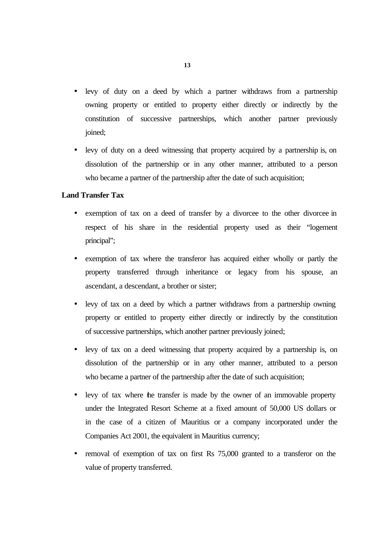- levy of duty on a deed by which a partner withdraws from a partnership owning property or entitled to property either directly or indirectly by the constitution of successive partnerships, which another partner previously joined;
- levy of duty on a deed witnessing that property acquired by a partnership is, on dissolution of the partnership or in any other manner, attributed to a person who became a partner of the partnership after the date of such acquisition;

# **Land Transfer Tax**

- exemption of tax on a deed of transfer by a divorcee to the other divorcee in respect of his share in the residential property used as their "logement principal";
- exemption of tax where the transferor has acquired either wholly or partly the property transferred through inheritance or legacy from his spouse, an ascendant, a descendant, a brother or sister;
- levy of tax on a deed by which a partner withdraws from a partnership owning property or entitled to property either directly or indirectly by the constitution of successive partnerships, which another partner previously joined;
- levy of tax on a deed witnessing that property acquired by a partnership is, on dissolution of the partnership or in any other manner, attributed to a person who became a partner of the partnership after the date of such acquisition;
- levy of tax where the transfer is made by the owner of an immovable property under the Integrated Resort Scheme at a fixed amount of 50,000 US dollars or in the case of a citizen of Mauritius or a company incorporated under the Companies Act 2001, the equivalent in Mauritius currency;
- removal of exemption of tax on first Rs 75,000 granted to a transferor on the value of property transferred.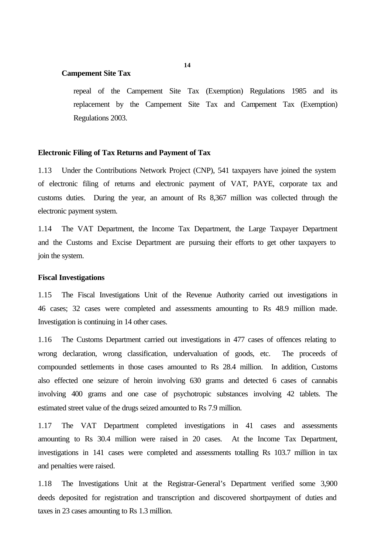### **Campement Site Tax**

repeal of the Campement Site Tax (Exemption) Regulations 1985 and its replacement by the Campement Site Tax and Campement Tax (Exemption) Regulations 2003.

### **Electronic Filing of Tax Returns and Payment of Tax**

1.13 Under the Contributions Network Project (CNP), 541 taxpayers have joined the system of electronic filing of returns and electronic payment of VAT, PAYE, corporate tax and customs duties. During the year, an amount of Rs 8,367 million was collected through the electronic payment system.

1.14 The VAT Department, the Income Tax Department, the Large Taxpayer Department and the Customs and Excise Department are pursuing their efforts to get other taxpayers to join the system.

### **Fiscal Investigations**

1.15 The Fiscal Investigations Unit of the Revenue Authority carried out investigations in 46 cases; 32 cases were completed and assessments amounting to Rs 48.9 million made. Investigation is continuing in 14 other cases.

1.16 The Customs Department carried out investigations in 477 cases of offences relating to wrong declaration, wrong classification, undervaluation of goods, etc. The proceeds of compounded settlements in those cases amounted to Rs 28.4 million. In addition, Customs also effected one seizure of heroin involving 630 grams and detected 6 cases of cannabis involving 400 grams and one case of psychotropic substances involving 42 tablets. The estimated street value of the drugs seized amounted to Rs 7.9 million.

1.17 The VAT Department completed investigations in 41 cases and assessments amounting to Rs 30.4 million were raised in 20 cases. At the Income Tax Department, investigations in 141 cases were completed and assessments totalling Rs 103.7 million in tax and penalties were raised.

1.18 The Investigations Unit at the Registrar-General's Department verified some 3,900 deeds deposited for registration and transcription and discovered shortpayment of duties and taxes in 23 cases amounting to Rs 1.3 million.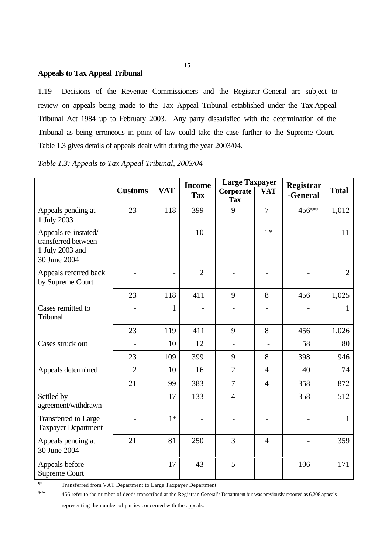# **Appeals to Tax Appeal Tribunal**

1.19 Decisions of the Revenue Commissioners and the Registrar-General are subject to review on appeals being made to the Tax Appeal Tribunal established under the Tax Appeal Tribunal Act 1984 up to February 2003. Any party dissatisfied with the determination of the Tribunal as being erroneous in point of law could take the case further to the Supreme Court. Table 1.3 gives details of appeals dealt with during the year 2003/04.

|                                                                                | <b>Customs</b> | <b>VAT</b>     | <b>Income</b><br><b>Tax</b> | <b>Large Taxpayer</b><br>Corporate<br><b>Tax</b> | <b>VAT</b>     | Registrar<br>-General | <b>Total</b>   |
|--------------------------------------------------------------------------------|----------------|----------------|-----------------------------|--------------------------------------------------|----------------|-----------------------|----------------|
| Appeals pending at<br>1 July 2003                                              | 23             | 118            | 399                         | 9                                                | $\overline{7}$ | 456**                 | 1,012          |
| Appeals re-instated/<br>transferred between<br>1 July 2003 and<br>30 June 2004 |                |                | 10                          |                                                  | $1*$           |                       | 11             |
| Appeals referred back<br>by Supreme Court                                      |                | $\overline{a}$ | $\overline{2}$              |                                                  |                |                       | $\overline{2}$ |
|                                                                                | 23             | 118            | 411                         | 9                                                | 8              | 456                   | 1,025          |
| Cases remitted to<br>Tribunal                                                  |                | 1              |                             |                                                  |                |                       | 1              |
|                                                                                | 23             | 119            | 411                         | 9                                                | 8              | 456                   | 1,026          |
| Cases struck out                                                               |                | 10             | 12                          | $\overline{\phantom{a}}$                         |                | 58                    | 80             |
|                                                                                | 23             | 109            | 399                         | 9                                                | 8              | 398                   | 946            |
| Appeals determined                                                             | $\overline{2}$ | 10             | 16                          | $\overline{2}$                                   | $\overline{4}$ | 40                    | 74             |
|                                                                                | 21             | 99             | 383                         | $\overline{7}$                                   | $\overline{4}$ | 358                   | 872            |
| Settled by<br>agreement/withdrawn                                              |                | 17             | 133                         | $\overline{4}$                                   |                | 358                   | 512            |
| Transferred to Large<br><b>Taxpayer Department</b>                             |                | $1*$           |                             |                                                  |                |                       | $\mathbf{1}$   |
| Appeals pending at<br>30 June 2004                                             | 21             | 81             | 250                         | 3                                                | $\overline{4}$ |                       | 359            |
| Appeals before<br><b>Supreme Court</b>                                         |                | 17             | 43                          | 5                                                |                | 106                   | 171            |

\* Transferred from VAT Department to Large Taxpayer Department

\*\* 456 refer to the number of deeds transcribed at the Registrar-General's Department but was previously reported as 6,208 appeals

representing the number of parties concerned with the appeals.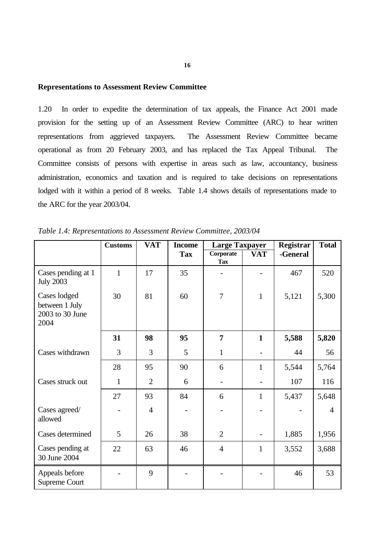### **Representations to Assessment Review Committee**

1.20 In order to expedite the determination of tax appeals, the Finance Act 2001 made provision for the setting up of an Assessment Review Committee (ARC) to hear written representations from aggrieved taxpayers. The Assessment Review Committee became operational as from 20 February 2003, and has replaced the Tax Appeal Tribunal. The Committee consists of persons with expertise in areas such as law, accountancy, business administration, economics and taxation and is required to take decisions on representations lodged with it within a period of 8 weeks. Table 1.4 shows details of representations made to the ARC for the year 2003/04.

|                                                           | <b>Customs</b> | <b>VAT</b>     | <b>Income</b> | <b>Large Taxpayer</b>   |                          | <b>Registrar</b> | <b>Total</b>   |
|-----------------------------------------------------------|----------------|----------------|---------------|-------------------------|--------------------------|------------------|----------------|
|                                                           |                |                | <b>Tax</b>    | Corporate<br><b>Tax</b> | <b>VAT</b>               | -General         |                |
| Cases pending at 1<br><b>July 2003</b>                    | $\mathbf{1}$   | 17             | 35            |                         |                          | 467              | 520            |
| Cases lodged<br>between 1 July<br>2003 to 30 June<br>2004 | 30             | 81             | 60            | $\overline{7}$          | $\mathbf{1}$             | 5,121            | 5,300          |
|                                                           | 31             | 98             | 95            | 7                       | $\mathbf{1}$             | 5,588            | 5,820          |
| Cases withdrawn                                           | $\overline{3}$ | 3              | 5             | $\mathbf{1}$            | -                        | 44               | 56             |
|                                                           | 28             | 95             | 90            | 6                       | 1                        | 5,544            | 5,764          |
| Cases struck out                                          | $\mathbf{1}$   | $\overline{2}$ | 6             |                         |                          | 107              | 116            |
|                                                           | 27             | 93             | 84            | 6                       | 1                        | 5,437            | 5,648          |
| Cases agreed/<br>allowed                                  |                | $\overline{4}$ |               |                         |                          |                  | $\overline{4}$ |
| Cases determined                                          | 5              | 26             | 38            | $\overline{2}$          | $\overline{\phantom{0}}$ | 1,885            | 1,956          |
| Cases pending at<br>30 June 2004                          | 22             | 63             | 46            | $\overline{4}$          | $\mathbf{1}$             | 3,552            | 3,688          |
| Appeals before<br>Supreme Court                           |                | 9              |               |                         |                          | 46               | 53             |

*Table 1.4: Representations to Assessment Review Committee, 2003/04*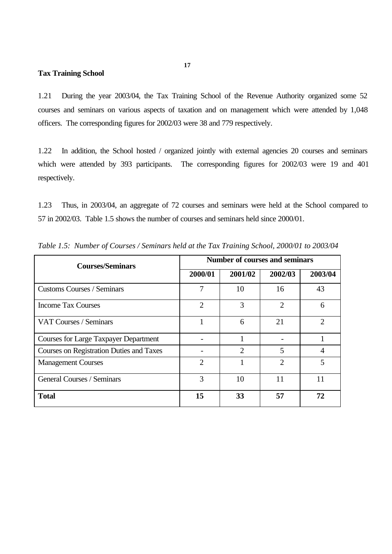# **Tax Training School**

1.21 During the year 2003/04, the Tax Training School of the Revenue Authority organized some 52 courses and seminars on various aspects of taxation and on management which were attended by 1,048 officers. The corresponding figures for 2002/03 were 38 and 779 respectively.

1.22 In addition, the School hosted / organized jointly with external agencies 20 courses and seminars which were attended by 393 participants. The corresponding figures for 2002/03 were 19 and 401 respectively.

1.23 Thus, in 2003/04, an aggregate of 72 courses and seminars were held at the School compared to 57 in 2002/03. Table 1.5 shows the number of courses and seminars held since 2000/01.

| <b>Courses/Seminars</b>                      | <b>Number of courses and seminars</b> |         |                |                |  |  |
|----------------------------------------------|---------------------------------------|---------|----------------|----------------|--|--|
|                                              | 2000/01                               | 2001/02 | 2002/03        | 2003/04        |  |  |
| <b>Customs Courses / Seminars</b>            | 7                                     | 10      | 16             | 43             |  |  |
| <b>Income Tax Courses</b>                    | $\overline{2}$                        | 3       | $\overline{2}$ | 6              |  |  |
| VAT Courses / Seminars                       |                                       | 6       | 21             | $\overline{2}$ |  |  |
| <b>Courses for Large Taxpayer Department</b> |                                       |         |                |                |  |  |
| Courses on Registration Duties and Taxes     |                                       | 2       | 5              | 4              |  |  |
| <b>Management Courses</b>                    | $\overline{2}$                        |         | $\overline{2}$ | 5              |  |  |
| General Courses / Seminars                   | 3                                     | 10      | 11             | 11             |  |  |
| <b>Total</b>                                 | 15                                    | 33      | 57             | 72             |  |  |

*Table 1.5: Number of Courses / Seminars held at the Tax Training School, 2000/01 to 2003/04*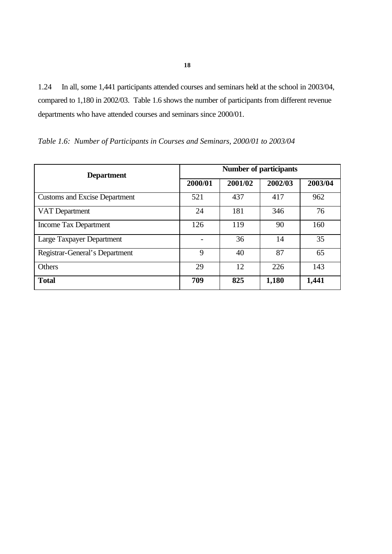1.24 In all, some 1,441 participants attended courses and seminars held at the school in 2003/04, compared to 1,180 in 2002/03. Table 1.6 shows the number of participants from different revenue departments who have attended courses and seminars since 2000/01.

| <b>Department</b>                    | <b>Number of participants</b> |         |         |         |  |  |
|--------------------------------------|-------------------------------|---------|---------|---------|--|--|
|                                      | 2000/01                       | 2001/02 | 2002/03 | 2003/04 |  |  |
| <b>Customs and Excise Department</b> | 521                           | 437     | 417     | 962     |  |  |
| VAT Department                       | 24                            | 181     | 346     | 76      |  |  |
| Income Tax Department                | 126                           | 119     | 90      | 160     |  |  |
| Large Taxpayer Department            |                               | 36      | 14      | 35      |  |  |
| Registrar-General's Department       | 9                             | 40      | 87      | 65      |  |  |
| Others                               | 29                            | 12      | 226     | 143     |  |  |
| <b>Total</b>                         | 709                           | 825     | 1,180   | 1,441   |  |  |

*Table 1.6: Number of Participants in Courses and Seminars, 2000/01 to 2003/04*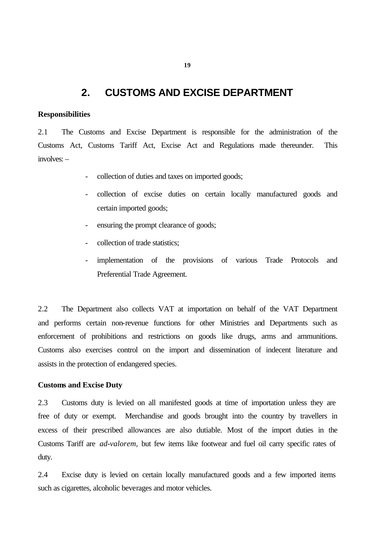# **2. CUSTOMS AND EXCISE DEPARTMENT**

### **Responsibilities**

2.1 The Customs and Excise Department is responsible for the administration of the Customs Act, Customs Tariff Act, Excise Act and Regulations made thereunder. This involves: –

- collection of duties and taxes on imported goods;
- collection of excise duties on certain locally manufactured goods and certain imported goods;
- ensuring the prompt clearance of goods;
- collection of trade statistics;
- implementation of the provisions of various Trade Protocols and Preferential Trade Agreement.

2.2 The Department also collects VAT at importation on behalf of the VAT Department and performs certain non-revenue functions for other Ministries and Departments such as enforcement of prohibitions and restrictions on goods like drugs, arms and ammunitions. Customs also exercises control on the import and dissemination of indecent literature and assists in the protection of endangered species.

### **Customs and Excise Duty**

2.3 Customs duty is levied on all manifested goods at time of importation unless they are free of duty or exempt. Merchandise and goods brought into the country by travellers in excess of their prescribed allowances are also dutiable. Most of the import duties in the Customs Tariff are *ad-valorem,* but few items like footwear and fuel oil carry specific rates of duty.

2.4 Excise duty is levied on certain locally manufactured goods and a few imported items such as cigarettes, alcoholic beverages and motor vehicles.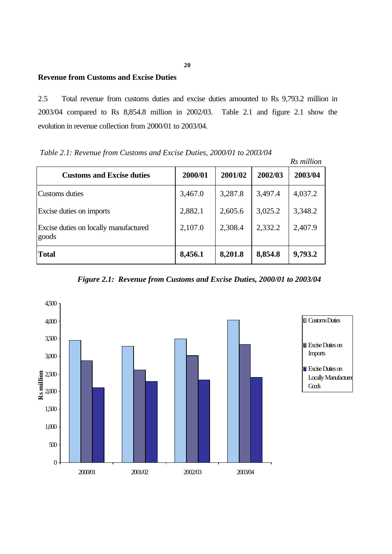# **Revenue from Customs and Excise Duties**

2.5 Total revenue from customs duties and excise duties amounted to Rs 9,793.2 million in 2003/04 compared to Rs 8,854.8 million in 2002/03. Table 2.1 and figure 2.1 show the evolution in revenue collection from 2000/01 to 2003/04.

|                                                |         |         |         | Rs million |
|------------------------------------------------|---------|---------|---------|------------|
| <b>Customs and Excise duties</b>               | 2000/01 | 2001/02 | 2002/03 | 2003/04    |
| <b>Customs</b> duties                          | 3,467.0 | 3,287.8 | 3,497.4 | 4,037.2    |
| Excise duties on imports                       | 2,882.1 | 2,605.6 | 3,025.2 | 3,348.2    |
| Excise duties on locally manufactured<br>goods | 2,107.0 | 2,308.4 | 2,332.2 | 2,407.9    |
| <b>Total</b>                                   | 8,456.1 | 8,201.8 | 8,854.8 | 9,793.2    |

 *Table 2.1: Revenue from Customs and Excise Duties, 2000/01 to 2003/04*

*Figure 2.1: Revenue from Customs and Excise Duties, 2000/01 to 2003/04*

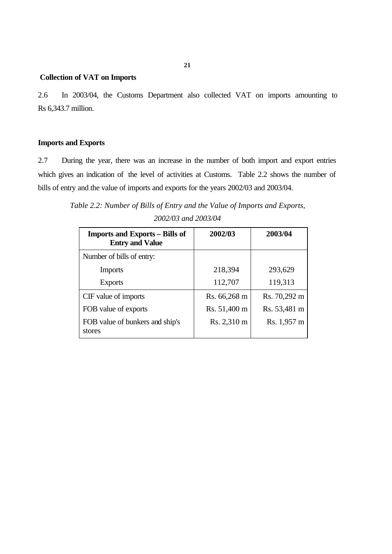# **Collection of VAT on Imports**

2.6 In 2003/04, the Customs Department also collected VAT on imports amounting to Rs 6,343.7 million.

# **Imports and Exports**

2.7 During the year, there was an increase in the number of both import and export entries which gives an indication of the level of activities at Customs. Table 2.2 shows the number of bills of entry and the value of imports and exports for the years 2002/03 and 2003/04.

*Table 2.2: Number of Bills of Entry and the Value of Imports and Exports, 2002/03 and 2003/04*

| <b>Imports and Exports – Bills of</b><br><b>Entry and Value</b> | 2002/03      | 2003/04      |
|-----------------------------------------------------------------|--------------|--------------|
| Number of bills of entry:                                       |              |              |
| <b>Imports</b>                                                  | 218,394      | 293,629      |
| <b>Exports</b>                                                  | 112,707      | 119,313      |
| CIF value of imports                                            | Rs. 66,268 m | Rs. 70,292 m |
| FOB value of exports                                            | Rs. 51,400 m | Rs. 53,481 m |
| FOB value of bunkers and ship's<br>stores                       | Rs. 2,310 m  | Rs. 1,957 m  |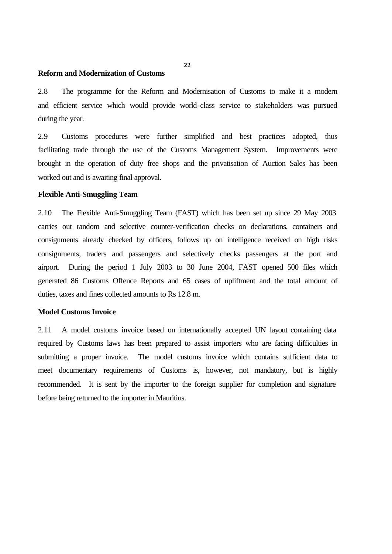#### **Reform and Modernization of Customs**

2.8 The programme for the Reform and Modernisation of Customs to make it a modern and efficient service which would provide world-class service to stakeholders was pursued during the year.

2.9 Customs procedures were further simplified and best practices adopted, thus facilitating trade through the use of the Customs Management System. Improvements were brought in the operation of duty free shops and the privatisation of Auction Sales has been worked out and is awaiting final approval.

### **Flexible Anti-Smuggling Team**

2.10 The Flexible Anti-Smuggling Team (FAST) which has been set up since 29 May 2003 carries out random and selective counter-verification checks on declarations, containers and consignments already checked by officers, follows up on intelligence received on high risks consignments, traders and passengers and selectively checks passengers at the port and airport. During the period 1 July 2003 to 30 June 2004, FAST opened 500 files which generated 86 Customs Offence Reports and 65 cases of upliftment and the total amount of duties, taxes and fines collected amounts to Rs 12.8 m.

#### **Model Customs Invoice**

2.11 A model customs invoice based on internationally accepted UN layout containing data required by Customs laws has been prepared to assist importers who are facing difficulties in submitting a proper invoice. The model customs invoice which contains sufficient data to meet documentary requirements of Customs is, however, not mandatory, but is highly recommended. It is sent by the importer to the foreign supplier for completion and signature before being returned to the importer in Mauritius.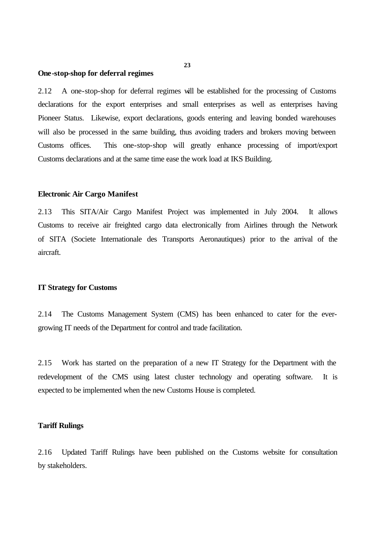#### **One-stop-shop for deferral regimes**

2.12 A one-stop-shop for deferral regimes will be established for the processing of Customs declarations for the export enterprises and small enterprises as well as enterprises having Pioneer Status. Likewise, export declarations, goods entering and leaving bonded warehouses will also be processed in the same building, thus avoiding traders and brokers moving between Customs offices. This one-stop-shop will greatly enhance processing of import/export Customs declarations and at the same time ease the work load at IKS Building.

### **Electronic Air Cargo Manifest**

2.13 This SITA/Air Cargo Manifest Project was implemented in July 2004. It allows Customs to receive air freighted cargo data electronically from Airlines through the Network of SITA (Societe Internationale des Transports Aeronautiques) prior to the arrival of the aircraft.

### **IT Strategy for Customs**

2.14 The Customs Management System (CMS) has been enhanced to cater for the evergrowing IT needs of the Department for control and trade facilitation.

2.15 Work has started on the preparation of a new IT Strategy for the Department with the redevelopment of the CMS using latest cluster technology and operating software. It is expected to be implemented when the new Customs House is completed.

### **Tariff Rulings**

2.16 Updated Tariff Rulings have been published on the Customs website for consultation by stakeholders.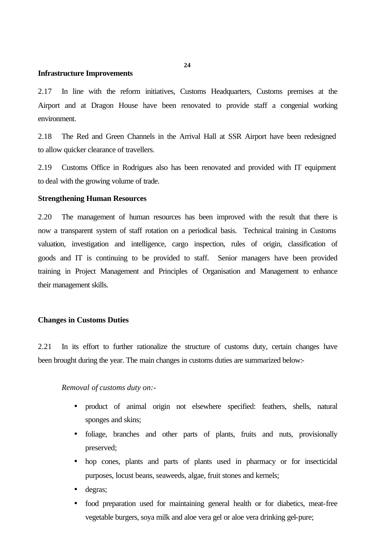#### **Infrastructure Improvements**

2.17 In line with the reform initiatives, Customs Headquarters, Customs premises at the Airport and at Dragon House have been renovated to provide staff a congenial working environment.

2.18 The Red and Green Channels in the Arrival Hall at SSR Airport have been redesigned to allow quicker clearance of travellers.

2.19 Customs Office in Rodrigues also has been renovated and provided with IT equipment to deal with the growing volume of trade.

### **Strengthening Human Resources**

2.20 The management of human resources has been improved with the result that there is now a transparent system of staff rotation on a periodical basis. Technical training in Customs valuation, investigation and intelligence, cargo inspection, rules of origin, classification of goods and IT is continuing to be provided to staff. Senior managers have been provided training in Project Management and Principles of Organisation and Management to enhance their management skills.

# **Changes in Customs Duties**

2.21 In its effort to further rationalize the structure of customs duty, certain changes have been brought during the year. The main changes in customs duties are summarized below:-

### *Removal of customs duty on:-*

- product of animal origin not elsewhere specified: feathers, shells, natural sponges and skins;
- foliage, branches and other parts of plants, fruits and nuts, provisionally preserved;
- hop cones, plants and parts of plants used in pharmacy or for insecticidal purposes, locust beans, seaweeds, algae, fruit stones and kernels;
- degras;
- food preparation used for maintaining general health or for diabetics, meat-free vegetable burgers, soya milk and aloe vera gel or aloe vera drinking gel-pure;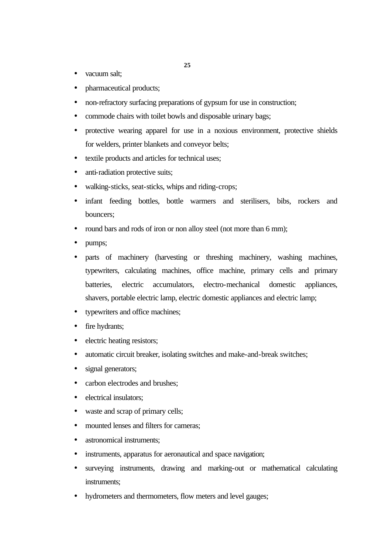- vacuum salt;
- pharmaceutical products;
- non-refractory surfacing preparations of gypsum for use in construction;
- commode chairs with toilet bowls and disposable urinary bags;
- protective wearing apparel for use in a noxious environment, protective shields for welders, printer blankets and conveyor belts;
- textile products and articles for technical uses;
- anti-radiation protective suits;
- walking-sticks, seat-sticks, whips and riding-crops;
- infant feeding bottles, bottle warmers and sterilisers, bibs, rockers and bouncers;
- round bars and rods of iron or non alloy steel (not more than 6 mm);
- pumps;
- parts of machinery (harvesting or threshing machinery, washing machines, typewriters, calculating machines, office machine, primary cells and primary batteries, electric accumulators, electro-mechanical domestic appliances, shavers, portable electric lamp, electric domestic appliances and electric lamp;
- typewriters and office machines;
- fire hydrants;
- electric heating resistors;
- automatic circuit breaker, isolating switches and make-and-break switches;
- signal generators;
- carbon electrodes and brushes;
- electrical insulators:
- waste and scrap of primary cells;
- mounted lenses and filters for cameras:
- astronomical instruments:
- instruments, apparatus for aeronautical and space navigation;
- surveying instruments, drawing and marking-out or mathematical calculating instruments;
- hydrometers and thermometers, flow meters and level gauges;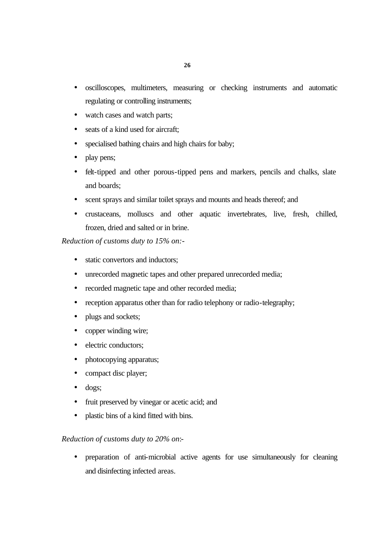- oscilloscopes, multimeters, measuring or checking instruments and automatic regulating or controlling instruments;
- watch cases and watch parts;
- seats of a kind used for aircraft;
- specialised bathing chairs and high chairs for baby;
- play pens;
- felt-tipped and other porous-tipped pens and markers, pencils and chalks, slate and boards;
- scent sprays and similar toilet sprays and mounts and heads thereof; and
- crustaceans, molluscs and other aquatic invertebrates, live, fresh, chilled, frozen, dried and salted or in brine.

# *Reduction of customs duty to 15% on:-*

- static convertors and inductors;
- unrecorded magnetic tapes and other prepared unrecorded media;
- recorded magnetic tape and other recorded media;
- reception apparatus other than for radio telephony or radio-telegraphy;
- plugs and sockets;
- copper winding wire;
- electric conductors;
- photocopying apparatus;
- compact disc player;
- dogs;
- fruit preserved by vinegar or acetic acid; and
- plastic bins of a kind fitted with bins.

# *Reduction of customs duty to 20% on*:-

• preparation of anti-microbial active agents for use simultaneously for cleaning and disinfecting infected areas.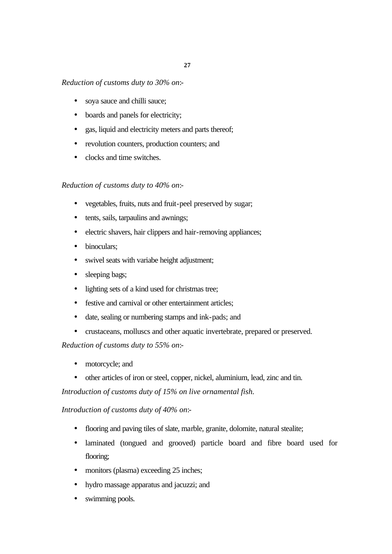# *Reduction of customs duty to 30% on*:-

- soya sauce and chilli sauce;
- boards and panels for electricity;
- gas, liquid and electricity meters and parts thereof;
- revolution counters, production counters; and
- clocks and time switches.

# *Reduction of customs duty to 40% on*:-

- vegetables, fruits, nuts and fruit-peel preserved by sugar;
- tents, sails, tarpaulins and awnings;
- electric shavers, hair clippers and hair-removing appliances;
- binoculars;
- swivel seats with variabe height adjustment;
- sleeping bags;
- lighting sets of a kind used for christmas tree;
- festive and carnival or other entertainment articles;
- date, sealing or numbering stamps and ink-pads; and
- crustaceans, molluscs and other aquatic invertebrate, prepared or preserved.

*Reduction of customs duty to 55% on*:-

- motorcycle; and
- other articles of iron or steel, copper, nickel, aluminium, lead, zinc and tin.

*Introduction of customs duty of 15% on live ornamental fish.*

*Introduction of customs duty of 40% on*:-

- flooring and paving tiles of slate, marble, granite, dolomite, natural stealite;
- laminated (tongued and grooved) particle board and fibre board used for flooring;
- monitors (plasma) exceeding 25 inches;
- hydro massage apparatus and jacuzzi; and
- swimming pools.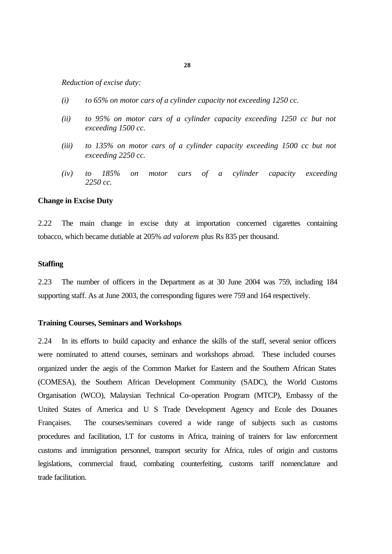*Reduction of excise duty:*

- *(i) to 65% on motor cars of a cylinder capacity not exceeding 1250 cc.*
- *(ii) to 95% on motor cars of a cylinder capacity exceeding 1250 cc but not exceeding 1500 cc.*
- *(iii) to 135% on motor cars of a cylinder capacity exceeding 1500 cc but not exceeding 2250 cc.*
- *(iv) to 185% on motor cars of a cylinder capacity exceeding 2250 cc.*

### **Change in Excise Duty**

2.22 The main change in excise duty at importation concerned cigarettes containing tobacco, which became dutiable at 205% *ad valorem* plus Rs 835 per thousand.

### **Staffing**

2.23 The number of officers in the Department as at 30 June 2004 was 759, including 184 supporting staff. As at June 2003, the corresponding figures were 759 and 164 respectively.

### **Training Courses, Seminars and Workshops**

2.24 In its efforts to build capacity and enhance the skills of the staff, several senior officers were nominated to attend courses, seminars and workshops abroad. These included courses organized under the aegis of the Common Market for Eastern and the Southern African States (COMESA), the Southern African Development Community (SADC), the World Customs Organisation (WCO), Malaysian Technical Co-operation Program (MTCP), Embassy of the United States of America and U S Trade Development Agency and Ecole des Douanes Françaises. The courses/seminars covered a wide range of subjects such as customs procedures and facilitation, I.T for customs in Africa, training of trainers for law enforcement customs and immigration personnel, transport security for Africa, rules of origin and customs legislations, commercial fraud, combating counterfeiting, customs tariff nomenclature and trade facilitation.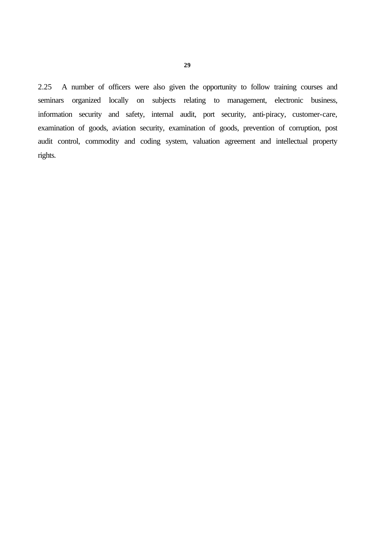2.25 A number of officers were also given the opportunity to follow training courses and seminars organized locally on subjects relating to management, electronic business, information security and safety, internal audit, port security, anti-piracy, customer-care, examination of goods, aviation security, examination of goods, prevention of corruption, post audit control, commodity and coding system, valuation agreement and intellectual property rights.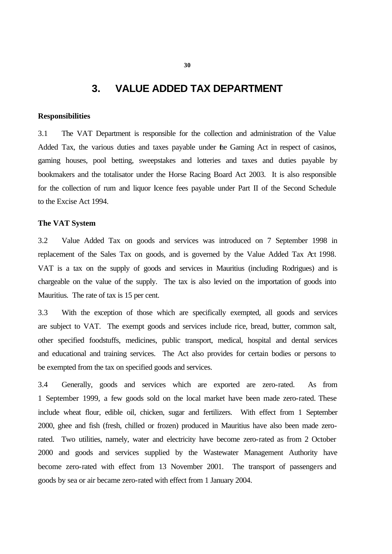# **3. VALUE ADDED TAX DEPARTMENT**

### **Responsibilities**

3.1 The VAT Department is responsible for the collection and administration of the Value Added Tax, the various duties and taxes payable under the Gaming Act in respect of casinos, gaming houses, pool betting, sweepstakes and lotteries and taxes and duties payable by bookmakers and the totalisator under the Horse Racing Board Act 2003. It is also responsible for the collection of rum and liquor licence fees payable under Part II of the Second Schedule to the Excise Act 1994.

### **The VAT System**

3.2 Value Added Tax on goods and services was introduced on 7 September 1998 in replacement of the Sales Tax on goods, and is governed by the Value Added Tax Act 1998. VAT is a tax on the supply of goods and services in Mauritius (including Rodrigues) and is chargeable on the value of the supply. The tax is also levied on the importation of goods into Mauritius. The rate of tax is 15 per cent.

3.3 With the exception of those which are specifically exempted, all goods and services are subject to VAT. The exempt goods and services include rice, bread, butter, common salt, other specified foodstuffs, medicines, public transport, medical, hospital and dental services and educational and training services. The Act also provides for certain bodies or persons to be exempted from the tax on specified goods and services.

3.4 Generally, goods and services which are exported are zero-rated. As from 1 September 1999, a few goods sold on the local market have been made zero-rated. These include wheat flour, edible oil, chicken, sugar and fertilizers. With effect from 1 September 2000, ghee and fish (fresh, chilled or frozen) produced in Mauritius have also been made zerorated. Two utilities, namely, water and electricity have become zero-rated as from 2 October 2000 and goods and services supplied by the Wastewater Management Authority have become zero-rated with effect from 13 November 2001. The transport of passengers and goods by sea or air became zero-rated with effect from 1 January 2004.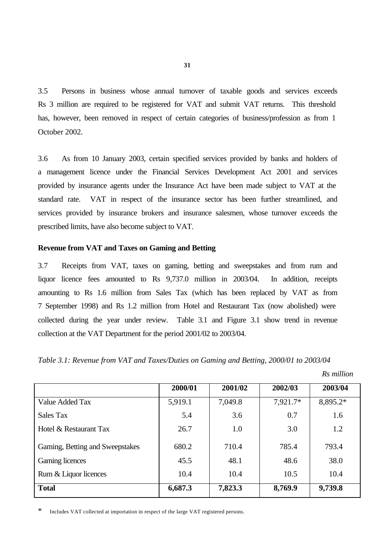3.5 Persons in business whose annual turnover of taxable goods and services exceeds Rs 3 million are required to be registered for VAT and submit VAT returns. This threshold has, however, been removed in respect of certain categories of business/profession as from 1 October 2002.

3.6 As from 10 January 2003, certain specified services provided by banks and holders of a management licence under the Financial Services Development Act 2001 and services provided by insurance agents under the Insurance Act have been made subject to VAT at the standard rate. VAT in respect of the insurance sector has been further streamlined, and services provided by insurance brokers and insurance salesmen, whose turnover exceeds the prescribed limits, have also become subject to VAT.

# **Revenue from VAT and Taxes on Gaming and Betting**

3.7 Receipts from VAT, taxes on gaming, betting and sweepstakes and from rum and liquor licence fees amounted to Rs 9,737.0 million in 2003/04. In addition, receipts amounting to Rs 1.6 million from Sales Tax (which has been replaced by VAT as from 7 September 1998) and Rs 1.2 million from Hotel and Restaurant Tax (now abolished) were collected during the year under review. Table 3.1 and Figure 3.1 show trend in revenue collection at the VAT Department for the period 2001/02 to 2003/04.

*Table 3.1: Revenue from VAT and Taxes/Duties on Gaming and Betting, 2000/01 to 2003/04*

|                                 | 2000/01 | 2001/02 | 2002/03  | 2003/04  |
|---------------------------------|---------|---------|----------|----------|
| Value Added Tax                 | 5,919.1 | 7,049.8 | 7,921.7* | 8,895.2* |
| Sales Tax                       | 5.4     | 3.6     | 0.7      | 1.6      |
| Hotel & Restaurant Tax          | 26.7    | 1.0     | 3.0      | 1.2      |
| Gaming, Betting and Sweepstakes | 680.2   | 710.4   | 785.4    | 793.4    |
| Gaming licences                 | 45.5    | 48.1    | 48.6     | 38.0     |
| Rum & Liquor licences           | 10.4    | 10.4    | 10.5     | 10.4     |
| <b>Total</b>                    | 6,687.3 | 7,823.3 | 8,769.9  | 9,739.8  |

\* Includes VAT collected at importation in respect of the large VAT registered persons.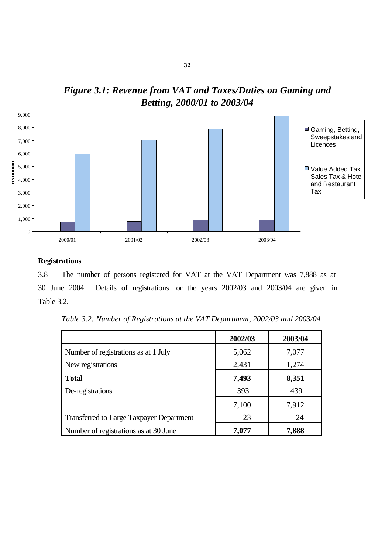

*Figure 3.1: Revenue from VAT and Taxes/Duties on Gaming and Betting, 2000/01 to 2003/04*

# **Registrations**

3.8 The number of persons registered for VAT at the VAT Department was 7,888 as at 30 June 2004. Details of registrations for the years 2002/03 and 2003/04 are given in Table 3.2.

| Table 3.2: Number of Registrations at the VAT Department, 2002/03 and 2003/04 |  |
|-------------------------------------------------------------------------------|--|
|-------------------------------------------------------------------------------|--|

|                                                 | 2002/03 | 2003/04 |
|-------------------------------------------------|---------|---------|
| Number of registrations as at 1 July            | 5,062   | 7,077   |
| New registrations                               | 2,431   | 1,274   |
| <b>Total</b>                                    | 7,493   | 8,351   |
| De-registrations                                | 393     | 439     |
|                                                 | 7,100   | 7,912   |
| <b>Transferred to Large Taxpayer Department</b> | 23      | 24      |
| Number of registrations as at 30 June           | 7,077   | 7,888   |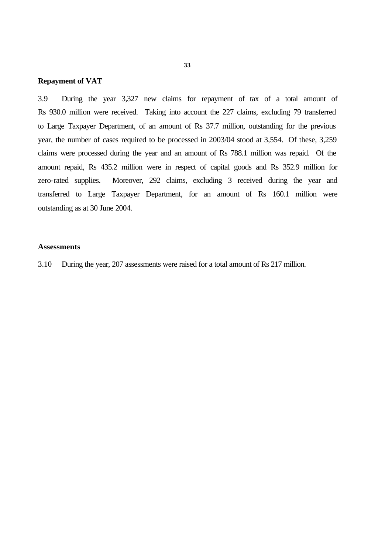### **Repayment of VAT**

3.9 During the year 3,327 new claims for repayment of tax of a total amount of Rs 930.0 million were received. Taking into account the 227 claims, excluding 79 transferred to Large Taxpayer Department, of an amount of Rs 37.7 million, outstanding for the previous year, the number of cases required to be processed in 2003/04 stood at 3,554. Of these, 3,259 claims were processed during the year and an amount of Rs 788.1 million was repaid. Of the amount repaid, Rs 435.2 million were in respect of capital goods and Rs 352.9 million for zero-rated supplies. Moreover, 292 claims, excluding 3 received during the year and transferred to Large Taxpayer Department, for an amount of Rs 160.1 million were outstanding as at 30 June 2004.

## **Assessments**

3.10 During the year, 207 assessments were raised for a total amount of Rs 217 million.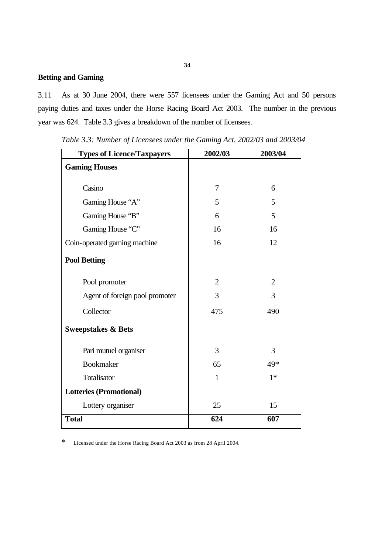# **Betting and Gaming**

3.11 As at 30 June 2004, there were 557 licensees under the Gaming Act and 50 persons paying duties and taxes under the Horse Racing Board Act 2003. The number in the previous year was 624. Table 3.3 gives a breakdown of the number of licensees.

| <b>Types of Licence/Taxpayers</b> | 2002/03        | 2003/04        |
|-----------------------------------|----------------|----------------|
| <b>Gaming Houses</b>              |                |                |
| Casino                            | 7              | 6              |
| Gaming House "A"                  | 5              | 5              |
| Gaming House "B"                  | 6              | 5              |
| Gaming House "C"                  | 16             | 16             |
| Coin-operated gaming machine      | 16             | 12             |
| <b>Pool Betting</b>               |                |                |
| Pool promoter                     | $\overline{2}$ | $\overline{2}$ |
| Agent of foreign pool promoter    | 3              | 3              |
| Collector                         | 475            | 490            |
| <b>Sweepstakes &amp; Bets</b>     |                |                |
| Pari mutuel organiser             | 3              | 3              |
| <b>Bookmaker</b>                  | 65             | 49*            |
| Totalisator                       | $\mathbf{1}$   | $1*$           |
| <b>Lotteries (Promotional)</b>    |                |                |
| Lottery organiser                 | 25             | 15             |
| <b>Total</b>                      | 624            | 607            |

*Table 3.3: Number of Licensees under the Gaming Act, 2002/03 and 2003/04*

\* Licensed under the Horse Racing Board Act 2003 as from 28 April 2004.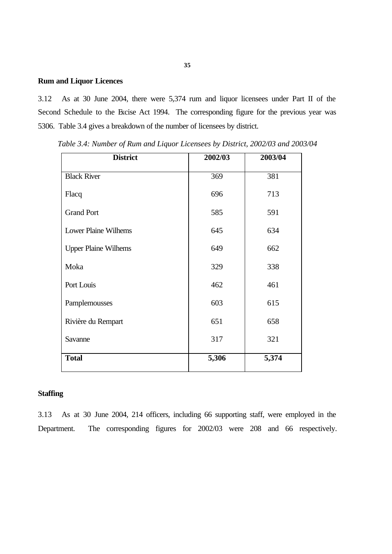# **Rum and Liquor Licences**

3.12 As at 30 June 2004, there were 5,374 rum and liquor licensees under Part II of the Second Schedule to the Excise Act 1994. The corresponding figure for the previous year was 5306. Table 3.4 gives a breakdown of the number of licensees by district.

| <b>District</b>             | 2002/03 | 2003/04 |
|-----------------------------|---------|---------|
| <b>Black River</b>          | 369     | 381     |
| Flacq                       | 696     | 713     |
| <b>Grand Port</b>           | 585     | 591     |
| <b>Lower Plaine Wilhems</b> | 645     | 634     |
| <b>Upper Plaine Wilhems</b> | 649     | 662     |
| Moka                        | 329     | 338     |
| Port Louis                  | 462     | 461     |
| Pamplemousses               | 603     | 615     |
| Rivière du Rempart          | 651     | 658     |
| Savanne                     | 317     | 321     |
| <b>Total</b>                | 5,306   | 5,374   |

*Table 3.4: Number of Rum and Liquor Licensees by District, 2002/03 and 2003/04*

# **Staffing**

3.13 As at 30 June 2004, 214 officers, including 66 supporting staff, were employed in the Department. The corresponding figures for 2002/03 were 208 and 66 respectively.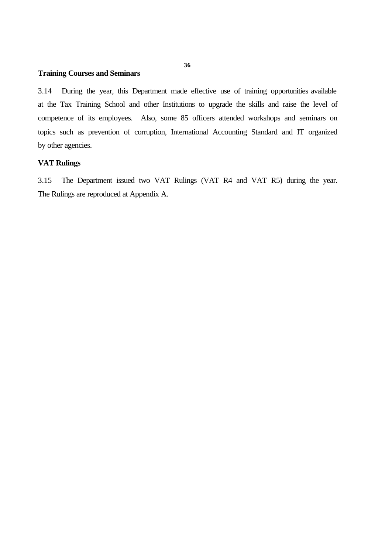# **Training Courses and Seminars**

3.14 During the year, this Department made effective use of training opportunities available at the Tax Training School and other Institutions to upgrade the skills and raise the level of competence of its employees. Also, some 85 officers attended workshops and seminars on topics such as prevention of corruption, International Accounting Standard and IT organized by other agencies.

# **VAT Rulings**

3.15 The Department issued two VAT Rulings (VAT R4 and VAT R5) during the year. The Rulings are reproduced at Appendix A.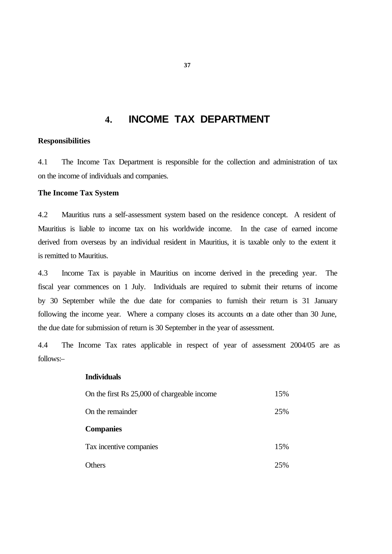# **4. INCOME TAX DEPARTMENT**

# **Responsibilities**

4.1 The Income Tax Department is responsible for the collection and administration of tax on the income of individuals and companies.

# **The Income Tax System**

4.2 Mauritius runs a self-assessment system based on the residence concept. A resident of Mauritius is liable to income tax on his worldwide income. In the case of earned income derived from overseas by an individual resident in Mauritius, it is taxable only to the extent it is remitted to Mauritius.

4.3 Income Tax is payable in Mauritius on income derived in the preceding year. The fiscal year commences on 1 July. Individuals are required to submit their returns of income by 30 September while the due date for companies to furnish their return is 31 January following the income year. Where a company closes its accounts on a date other than 30 June, the due date for submission of return is 30 September in the year of assessment.

4.4 The Income Tax rates applicable in respect of year of assessment 2004/05 are as follows:–

### **Individuals**

| On the first Rs 25,000 of chargeable income | 15% |
|---------------------------------------------|-----|
| On the remainder                            | 25% |
| <b>Companies</b>                            |     |
| Tax incentive companies                     | 15% |
| Others                                      | 25% |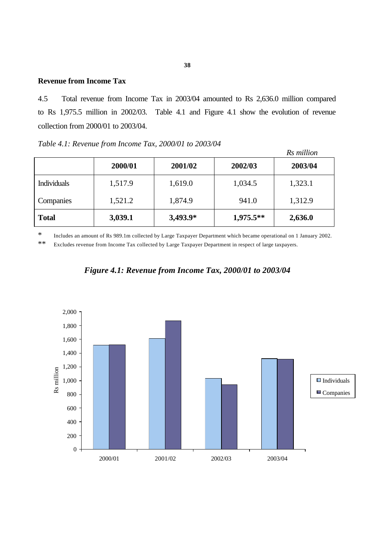# **Revenue from Income Tax**

4.5 Total revenue from Income Tax in 2003/04 amounted to Rs 2,636.0 million compared to Rs 1,975.5 million in 2002/03. Table 4.1 and Figure 4.1 show the evolution of revenue collection from 2000/01 to 2003/04.

*Table 4.1: Revenue from Income Tax, 2000/01 to 2003/04*

|                    |         |          |             | Rs million |
|--------------------|---------|----------|-------------|------------|
|                    | 2000/01 | 2001/02  | 2002/03     | 2003/04    |
| <b>Individuals</b> | 1,517.9 | 1,619.0  | 1,034.5     | 1,323.1    |
| Companies          | 1,521.2 | 1,874.9  | 941.0       | 1,312.9    |
| <b>Total</b>       | 3,039.1 | 3,493.9* | $1,975.5**$ | 2,636.0    |

\* Includes an amount of Rs 989.1m collected by Large Taxpayer Department which became operational on 1 January 2002.

\*\* Excludes revenue from Income Tax collected by Large Taxpayer Department in respect of large taxpayers.



*Figure 4.1: Revenue from Income Tax, 2000/01 to 2003/04*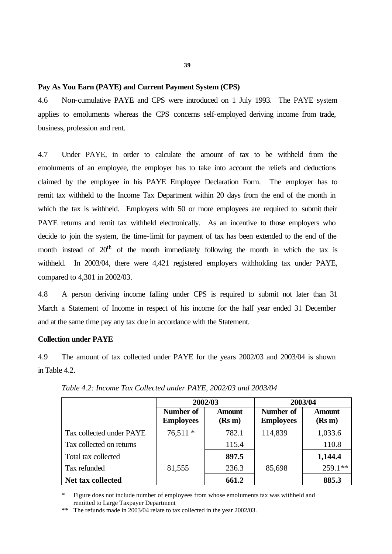### **Pay As You Earn (PAYE) and Current Payment System (CPS)**

4.6 Non-cumulative PAYE and CPS were introduced on 1 July 1993. The PAYE system applies to emoluments whereas the CPS concerns self-employed deriving income from trade, business, profession and rent.

4.7 Under PAYE, in order to calculate the amount of tax to be withheld from the emoluments of an employee, the employer has to take into account the reliefs and deductions claimed by the employee in his PAYE Employee Declaration Form. The employer has to remit tax withheld to the Income Tax Department within 20 days from the end of the month in which the tax is withheld. Employers with 50 or more employees are required to submit their PAYE returns and remit tax withheld electronically. As an incentive to those employers who decide to join the system, the time-limit for payment of tax has been extended to the end of the month instead of  $20<sup>th</sup>$  of the month immediately following the month in which the tax is withheld. In 2003/04, there were 4,421 registered employers withholding tax under PAYE, compared to 4,301 in 2002/03.

4.8 A person deriving income falling under CPS is required to submit not later than 31 March a Statement of Income in respect of his income for the half year ended 31 December and at the same time pay any tax due in accordance with the Statement.

### **Collection under PAYE**

4.9 The amount of tax collected under PAYE for the years 2002/03 and 2003/04 is shown in Table 4.2.

|                          | 2002/03                              |                         | 2003/04                       |                         |
|--------------------------|--------------------------------------|-------------------------|-------------------------------|-------------------------|
|                          | <b>Number of</b><br><b>Employees</b> | <b>Amount</b><br>(Rs m) | Number of<br><b>Employees</b> | <b>Amount</b><br>(Rs m) |
| Tax collected under PAYE | $76,511*$                            | 782.1                   | 114,839                       | 1,033.6                 |
| Tax collected on returns |                                      | 115.4                   |                               | 110.8                   |
| Total tax collected      |                                      | 897.5                   |                               | 1,144.4                 |
| Tax refunded             | 81,555                               | 236.3                   | 85,698                        | $259.1**$               |
| Net tax collected        |                                      | 661.2                   |                               | 885.3                   |

*Table 4.2: Income Tax Collected under PAYE, 2002/03 and 2003/04*

Figure does not include number of employees from whose emoluments tax was withheld and remitted to Large Taxpayer Department

\*\* The refunds made in 2003/04 relate to tax collected in the year 2002/03.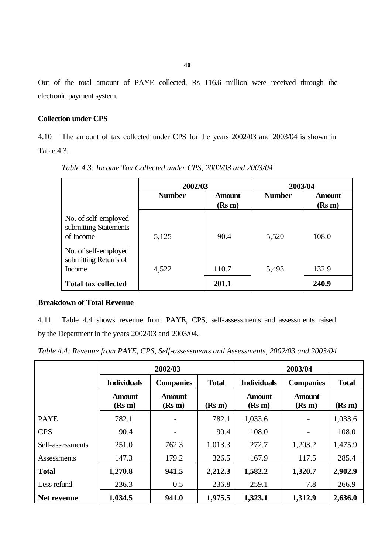Out of the total amount of PAYE collected, Rs 116.6 million were received through the electronic payment system.

# **Collection under CPS**

4.10 The amount of tax collected under CPS for the years 2002/03 and 2003/04 is shown in Table 4.3.

|                                                            | 2002/03       |                         | 2003/04       |                         |
|------------------------------------------------------------|---------------|-------------------------|---------------|-------------------------|
|                                                            | <b>Number</b> | <b>Amount</b><br>(Rs m) | <b>Number</b> | <b>Amount</b><br>(Rs m) |
| No. of self-employed<br>submitting Statements<br>of Income | 5,125         | 90.4                    | 5,520         | 108.0                   |
| No. of self-employed<br>submitting Returns of<br>Income    | 4,522         | 110.7                   | 5,493         | 132.9                   |
| <b>Total tax collected</b>                                 |               | 201.1                   |               | 240.9                   |

*Table 4.3: Income Tax Collected under CPS, 2002/03 and 2003/04*

# **Breakdown of Total Revenue**

4.11 Table 4.4 shows revenue from PAYE, CPS, self-assessments and assessments raised by the Department in the years 2002/03 and 2003/04.

|  | Table 4.4: Revenue from PAYE, CPS, Self-assessments and Assessments, 2002/03 and 2003/04 |  |
|--|------------------------------------------------------------------------------------------|--|
|--|------------------------------------------------------------------------------------------|--|

|                    | 2002/03                                                |                         |                    | 2003/04                 |                         |         |  |
|--------------------|--------------------------------------------------------|-------------------------|--------------------|-------------------------|-------------------------|---------|--|
|                    | <b>Individuals</b><br><b>Companies</b><br><b>Total</b> |                         | <b>Individuals</b> | <b>Companies</b>        | <b>Total</b>            |         |  |
|                    | <b>Amount</b><br>(Rs m)                                | <b>Amount</b><br>(Rs m) | (Rs m)             | <b>Amount</b><br>(Rs m) | <b>Amount</b><br>(Rs m) | (Rs m)  |  |
| <b>PAYE</b>        | 782.1                                                  |                         | 782.1              | 1,033.6                 |                         | 1,033.6 |  |
| <b>CPS</b>         | 90.4                                                   |                         | 90.4               | 108.0                   |                         | 108.0   |  |
| Self-assessments   | 251.0                                                  | 762.3                   | 1,013.3            | 272.7                   | 1,203.2                 | 1,475.9 |  |
| <b>Assessments</b> | 147.3                                                  | 179.2                   | 326.5              | 167.9                   | 117.5                   | 285.4   |  |
| <b>Total</b>       | 1,270.8                                                | 941.5                   | 2,212.3            | 1,582.2                 | 1,320.7                 | 2,902.9 |  |
| Less refund        | 236.3                                                  | 0.5                     | 236.8              | 259.1                   | 7.8                     | 266.9   |  |
| Net revenue        | 1,034.5                                                | 941.0                   | 1,975.5            | 1,323.1                 | 1,312.9                 | 2,636.0 |  |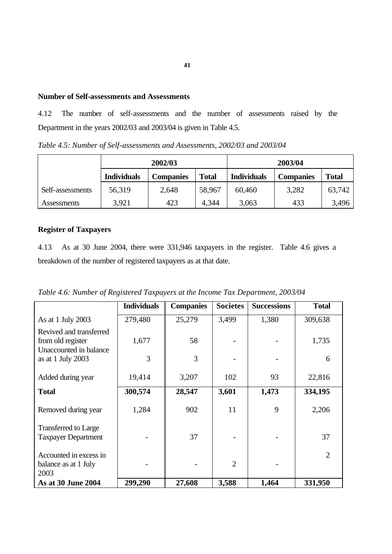## **Number of Self-assessments and Assessments**

4.12 The number of self-assessments and the number of assessments raised by the Department in the years 2002/03 and 2003/04 is given in Table 4.5.

*Table 4.5: Number of Self-assessments and Assessments, 2002/03 and 2003/04*

|                  | 2002/03            |                  |              | 2003/04            |                  |              |
|------------------|--------------------|------------------|--------------|--------------------|------------------|--------------|
|                  | <b>Individuals</b> | <b>Companies</b> | <b>Total</b> | <b>Individuals</b> | <b>Companies</b> | <b>Total</b> |
| Self-assessments | 56,319             | 2,648            | 58,967       | 60,460             | 3,282            | 63,742       |
| Assessments      | 3,921              | 423              | 4,344        | 3,063              | 433              | 3,496        |

# **Register of Taxpayers**

4.13 As at 30 June 2004, there were 331,946 taxpayers in the register. Table 4.6 gives a breakdown of the number of registered taxpayers as at that date.

*Table 4.6: Number of Registered Taxpayers at the Income Tax Department, 2003/04*

|                                                                        | <b>Individuals</b> | <b>Companies</b> | <b>Societes</b> | <b>Successions</b> | <b>Total</b>   |
|------------------------------------------------------------------------|--------------------|------------------|-----------------|--------------------|----------------|
| As at 1 July 2003                                                      | 279,480            | 25,279           | 3,499           | 1,380              | 309,638        |
| Revived and transferred<br>from old register<br>Unaccounted in balance | 1,677              | 58               |                 |                    | 1,735          |
| as at 1 July $2003$                                                    | 3                  | 3                |                 |                    | 6              |
| Added during year                                                      | 19,414             | 3,207            | 102             | 93                 | 22,816         |
| <b>Total</b>                                                           | 300,574            | 28,547           | 3,601           | 1,473              | 334,195        |
| Removed during year                                                    | 1,284              | 902              | 11              | 9                  | 2,206          |
| <b>Transferred to Large</b><br><b>Taxpayer Department</b>              |                    | 37               |                 |                    | 37             |
| Accounted in excess in<br>balance as at 1 July<br>2003                 |                    |                  | $\overline{2}$  |                    | $\overline{2}$ |
| As at 30 June 2004                                                     | 299,290            | 27,608           | 3,588           | 1,464              | 331,950        |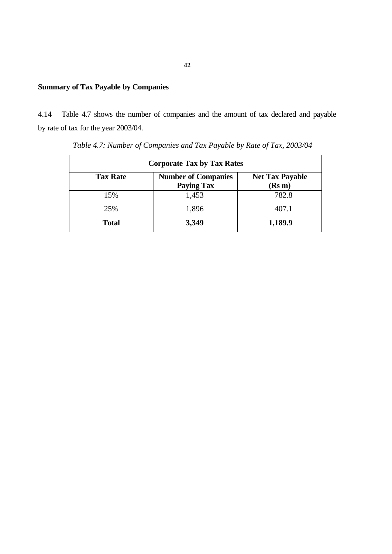# **Summary of Tax Payable by Companies**

4.14 Table 4.7 shows the number of companies and the amount of tax declared and payable by rate of tax for the year 2003/04.

| <b>Corporate Tax by Tax Rates</b> |                                                 |                                  |  |  |  |  |
|-----------------------------------|-------------------------------------------------|----------------------------------|--|--|--|--|
| <b>Tax Rate</b>                   | <b>Number of Companies</b><br><b>Paying Tax</b> | <b>Net Tax Payable</b><br>(Rs m) |  |  |  |  |
| 15%                               | 1,453                                           | 782.8                            |  |  |  |  |
| 25%                               | 1,896                                           | 407.1                            |  |  |  |  |
| <b>Total</b>                      | 3,349                                           | 1,189.9                          |  |  |  |  |

 *Table 4.7: Number of Companies and Tax Payable by Rate of Tax, 2003/04*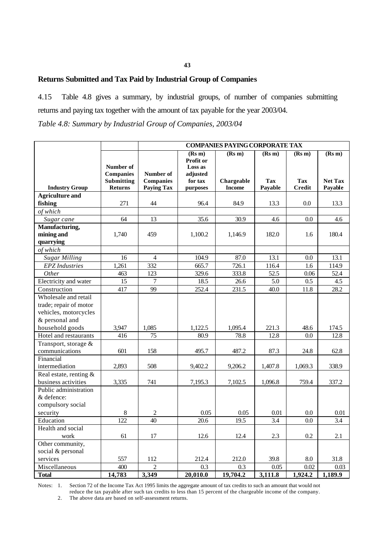# **Returns Submitted and Tax Paid by Industrial Group of Companies**

4.15 Table 4.8 gives a summary, by industrial groups, of number of companies submitting returns and paying tax together with the amount of tax payable for the year 2003/04.

*Table 4.8: Summary by Industrial Group of Companies, 2003/04*

|                        |                   | <b>COMPANIES PAYING CORPORATE TAX</b> |                      |               |            |               |                |
|------------------------|-------------------|---------------------------------------|----------------------|---------------|------------|---------------|----------------|
|                        |                   |                                       | (Rs m)               | (Rs m)        | (Rs m)     | (Rs m)        | (Rs m)         |
|                        | Number of         |                                       | Profit or<br>Loss as |               |            |               |                |
|                        | <b>Companies</b>  | Number of                             | adjusted             |               |            |               |                |
|                        | <b>Submitting</b> | <b>Companies</b>                      | for tax              | Chargeable    | <b>Tax</b> | <b>Tax</b>    | <b>Net Tax</b> |
| <b>Industry Group</b>  | <b>Returns</b>    | <b>Paying Tax</b>                     | purposes             | <b>Income</b> | Payable    | <b>Credit</b> | Payable        |
| <b>Agriculture and</b> |                   |                                       |                      |               |            |               |                |
| fishing                | 271               | 44                                    | 96.4                 | 84.9          | 13.3       | 0.0           | 13.3           |
| of which               |                   |                                       |                      |               |            |               |                |
| Sugar cane             | 64                | 13                                    | 35.6                 | 30.9          | 4.6        | 0.0           | 4.6            |
| Manufacturing,         |                   |                                       |                      |               |            |               |                |
| mining and             | 1,740             | 459                                   | 1,100.2              | 1,146.9       | 182.0      | 1.6           | 180.4          |
| quarrying              |                   |                                       |                      |               |            |               |                |
| of which               |                   |                                       |                      |               |            |               |                |
| <b>Sugar Milling</b>   | 16                | $\overline{4}$                        | 104.9                | 87.0          | 13.1       | 0.0           | 13.1           |
| <b>EPZ</b> Industries  | 1,261             | 332                                   | 665.7                | 726.1         | 116.4      | 1.6           | 114.9          |
| Other                  | 463               | 123                                   | 329.6                | 333.8         | 52.5       | 0.06          | 52.4           |
| Electricity and water  | 15                | $\overline{7}$                        | 18.5                 | 26.6          | 5.0        | 0.5           | 4.5            |
| Construction           | 417               | 99                                    | 252.4                | 231.5         | 40.0       | 11.8          | 28.2           |
| Wholesale and retail   |                   |                                       |                      |               |            |               |                |
| trade; repair of motor |                   |                                       |                      |               |            |               |                |
| vehicles, motorcycles  |                   |                                       |                      |               |            |               |                |
| & personal and         |                   |                                       |                      |               |            |               |                |
| household goods        | 3,947             | 1,085                                 | 1,122.5              | 1,095.4       | 221.3      | 48.6          | 174.5          |
| Hotel and restaurants  | 416               | 75                                    | 80.9                 | 78.8          | 12.8       | 0.0           | 12.8           |
| Transport, storage &   |                   |                                       |                      |               |            |               |                |
| communications         | 601               | 158                                   | 495.7                | 487.2         | 87.3       | 24.8          | 62.8           |
| Financial              |                   |                                       |                      |               |            |               |                |
| intermediation         | 2,893             | 508                                   | 9,402.2              | 9,206.2       | 1,407.8    | 1,069.3       | 338.9          |
| Real estate, renting & |                   |                                       |                      |               |            |               |                |
| business activities    | 3,335             | 741                                   | 7,195.3              | 7,102.5       | 1,096.8    | 759.4         | 337.2          |
| Public administration  |                   |                                       |                      |               |            |               |                |
| & defence:             |                   |                                       |                      |               |            |               |                |
| compulsory social      |                   |                                       |                      |               |            |               |                |
| security               | 8                 | $\overline{c}$                        | 0.05                 | 0.05          | 0.01       | $0.0\,$       | 0.01           |
| Education              | 122               | 40                                    | 20.6                 | 19.5          | 3.4        | 0.0           | 3.4            |
| Health and social      |                   |                                       |                      |               |            |               |                |
| work                   | 61                | 17                                    | 12.6                 | 12.4          | 2.3        | 0.2           | 2.1            |
| Other community,       |                   |                                       |                      |               |            |               |                |
| social & personal      |                   |                                       |                      |               |            |               |                |
| services               | 557               | 112                                   | 212.4                | 212.0         | 39.8       | 8.0           | 31.8           |
| Miscellaneous          | 400               | $\overline{2}$                        | 0.3                  | 0.3           | 0.05       | 0.02          | 0.03           |
| <b>Total</b>           | 14,783            | 3,349                                 | 20,010.0             | 19,704.2      | 3,111.8    | 1,924.2       | 1,189.9        |

Notes: 1. Section 72 of the Income Tax Act 1995 limits the aggregate amount of tax credits to such an amount that would not reduce the tax payable after such tax credits to less than 15 percent of the chargeable income of the company.

2. The above data are based on self-assessment returns.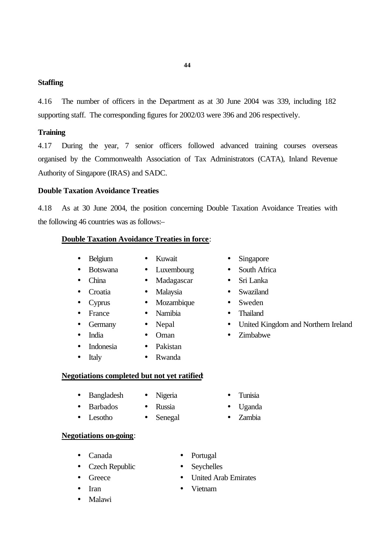# **Staffing**

4.16 The number of officers in the Department as at 30 June 2004 was 339, including 182 supporting staff. The corresponding figures for 2002/03 were 396 and 206 respectively.

**44**

# **Training**

4.17 During the year, 7 senior officers followed advanced training courses overseas organised by the Commonwealth Association of Tax Administrators (CATA), Inland Revenue Authority of Singapore (IRAS) and SADC.

# **Double Taxation Avoidance Treaties**

4.18 As at 30 June 2004, the position concerning Double Taxation Avoidance Treaties with the following 46 countries was as follows:–

### **Double Taxation Avoidance Treaties in force**:

- Belgium Kuwait Singapore
	-
- 
- 
- Croatia Malaysia Swaziland
- Cyprus Mozambique Sweden
- France Namibia Thailand
- - - -
- 
- Botswana Luxembourg South Africa
- China Madagascar Sri Lanka
	-
	-
	-
- Germany Nepal United Kingdom and Northern Ireland
- India Oman Zimbabwe
- Indonesia Pakistan
- Italy Rwanda
- **Negotiations completed but not yet ratified**:
	- Bangladesh Nigeria Tunisia
		-
	-
	- Lesotho Senegal Zambia
- - Barbados Russia Uganda
		-

# **Negotiations on-going**:

- 
- Czech Republic Seychelles
- 
- 
- Malawi
- Canada Portugal
	-
- Greece United Arab Emirates
- Iran Vietnam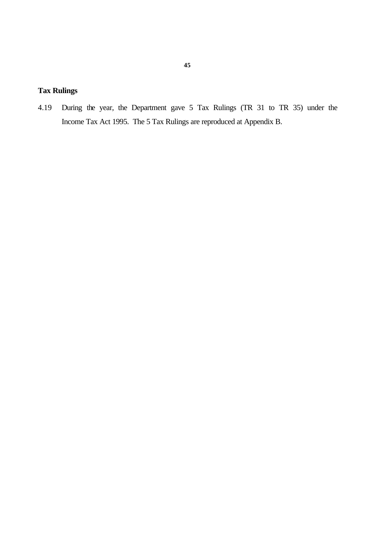# **Tax Rulings**

4.19 During the year, the Department gave 5 Tax Rulings (TR 31 to TR 35) under the Income Tax Act 1995. The 5 Tax Rulings are reproduced at Appendix B.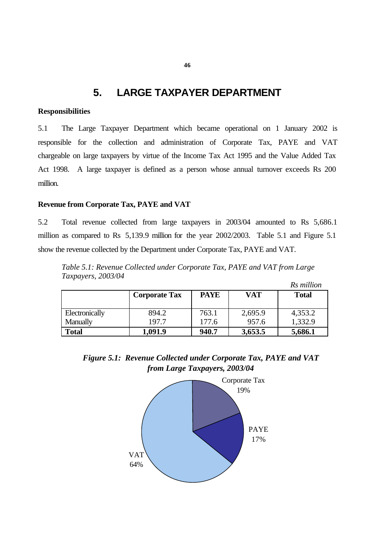# **5. LARGE TAXPAYER DEPARTMENT**

# **Responsibilities**

5.1 The Large Taxpayer Department which became operational on 1 January 2002 is responsible for the collection and administration of Corporate Tax, PAYE and VAT chargeable on large taxpayers by virtue of the Income Tax Act 1995 and the Value Added Tax Act 1998. A large taxpayer is defined as a person whose annual turnover exceeds Rs 200 million.

# **Revenue from Corporate Tax, PAYE and VAT**

5.2 Total revenue collected from large taxpayers in 2003/04 amounted to Rs 5,686.1 million as compared to Rs 5,139.9 million for the year 2002/2003. Table 5.1 and Figure 5.1 show the revenue collected by the Department under Corporate Tax, PAYE and VAT.

*Table 5.1: Revenue Collected under Corporate Tax, PAYE and VAT from Large Taxpayers, 2003/04 Rs million*

|                            |                      |                |                  | KS Muuton          |
|----------------------------|----------------------|----------------|------------------|--------------------|
|                            | <b>Corporate Tax</b> | <b>PAYE</b>    | <b>VAT</b>       | <b>Total</b>       |
| Electronically<br>Manually | 894.2<br>197.7       | 763.1<br>177.6 | 2,695.9<br>957.6 | 4,353.2<br>1,332.9 |
| <b>Total</b>               | 1,091.9              | 940.7          | 3,653.5          | 5,686.1            |



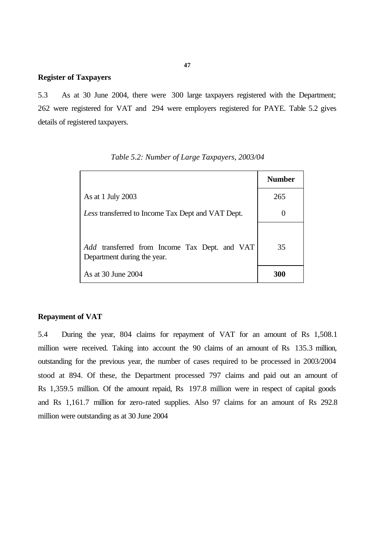# **Register of Taxpayers**

5.3 As at 30 June 2004, there were 300 large taxpayers registered with the Department; 262 were registered for VAT and 294 were employers registered for PAYE. Table 5.2 gives details of registered taxpayers.

|                                                                              | <b>Number</b> |
|------------------------------------------------------------------------------|---------------|
| As at 1 July 2003                                                            | 265           |
| Less transferred to Income Tax Dept and VAT Dept.                            |               |
| Add transferred from Income Tax Dept. and VAT<br>Department during the year. | 35            |
| As at 30 June 2004                                                           | 300           |

### **Repayment of VAT**

5.4 During the year, 804 claims for repayment of VAT for an amount of Rs 1,508.1 million were received. Taking into account the 90 claims of an amount of Rs 135.3 million, outstanding for the previous year, the number of cases required to be processed in 2003/2004 stood at 894. Of these, the Department processed 797 claims and paid out an amount of Rs 1,359.5 million. Of the amount repaid, Rs 197.8 million were in respect of capital goods and Rs 1,161.7 million for zero-rated supplies. Also 97 claims for an amount of Rs 292.8 million were outstanding as at 30 June 2004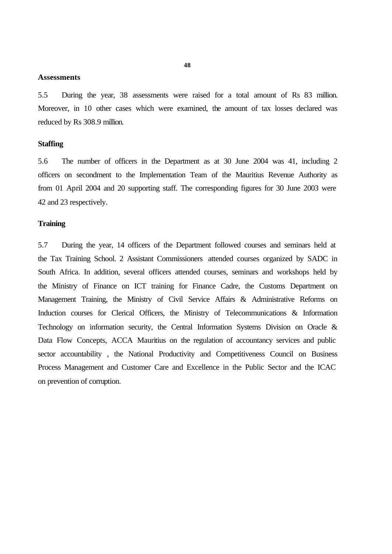### **Assessments**

5.5 During the year, 38 assessments were raised for a total amount of Rs 83 million. Moreover, in 10 other cases which were examined, the amount of tax losses declared was reduced by Rs 308.9 million.

### **Staffing**

5.6 The number of officers in the Department as at 30 June 2004 was 41, including 2 officers on secondment to the Implementation Team of the Mauritius Revenue Authority as from 01 April 2004 and 20 supporting staff. The corresponding figures for 30 June 2003 were 42 and 23 respectively.

### **Training**

5.7 During the year, 14 officers of the Department followed courses and seminars held at the Tax Training School. 2 Assistant Commissioners attended courses organized by SADC in South Africa. In addition, several officers attended courses, seminars and workshops held by the Ministry of Finance on ICT training for Finance Cadre, the Customs Department on Management Training, the Ministry of Civil Service Affairs & Administrative Reforms on Induction courses for Clerical Officers, the Ministry of Telecommunications & Information Technology on information security, the Central Information Systems Division on Oracle & Data Flow Concepts, ACCA Mauritius on the regulation of accountancy services and public sector accountability , the National Productivity and Competitiveness Council on Business Process Management and Customer Care and Excellence in the Public Sector and the ICAC on prevention of corruption.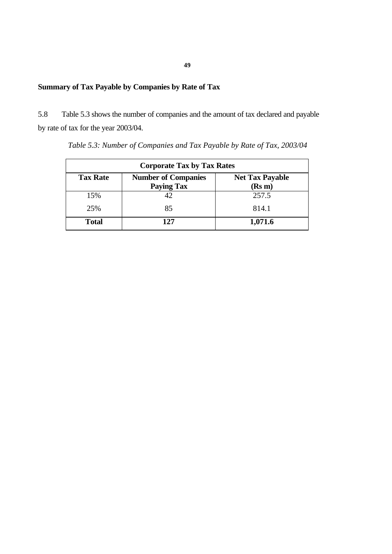# **Summary of Tax Payable by Companies by Rate of Tax**

5.8 Table 5.3 shows the number of companies and the amount of tax declared and payable by rate of tax for the year 2003/04.

| <b>Corporate Tax by Tax Rates</b> |                                                 |                                  |  |  |  |  |
|-----------------------------------|-------------------------------------------------|----------------------------------|--|--|--|--|
| <b>Tax Rate</b>                   | <b>Number of Companies</b><br><b>Paying Tax</b> | <b>Net Tax Payable</b><br>(Rs m) |  |  |  |  |
| 15%                               | 42                                              | 257.5                            |  |  |  |  |
| 25%                               | 85                                              | 814.1                            |  |  |  |  |
| <b>Total</b>                      | 127                                             | 1,071.6                          |  |  |  |  |

*Table 5.3: Number of Companies and Tax Payable by Rate of Tax, 2003/04*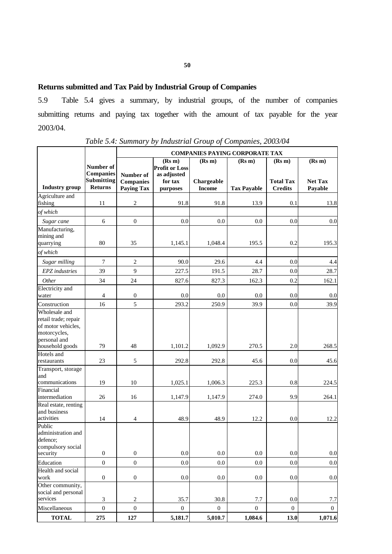# **Returns submitted and Tax Paid by Industrial Group of Companies**

5.9 Table 5.4 gives a summary, by industrial groups, of the number of companies submitting returns and paying tax together with the amount of tax payable for the year 2003/04.

|                              |                               | <b>COMPANIES PAYING CORPORATE TAX</b> |                                      |                  |                    |                  |                |
|------------------------------|-------------------------------|---------------------------------------|--------------------------------------|------------------|--------------------|------------------|----------------|
|                              |                               |                                       | (Rs m)                               | (Rs m)           | (Rs m)             | (Rs m)           | (Rs m)         |
|                              | Number of<br><b>Companies</b> | Number of                             | <b>Profit or Loss</b><br>as adjusted |                  |                    |                  |                |
|                              | <b>Submitting</b>             | <b>Companies</b>                      | for tax                              | Chargeable       |                    | <b>Total Tax</b> | <b>Net Tax</b> |
| <b>Industry</b> group        | <b>Returns</b>                | <b>Paying Tax</b>                     | purposes                             | <b>Income</b>    | <b>Tax Payable</b> | <b>Credits</b>   | Payable        |
| Agriculture and              |                               |                                       |                                      |                  |                    |                  |                |
| fishing                      | 11                            | $\sqrt{2}$                            | 91.8                                 | 91.8             | 13.9               | 0.1              | 13.8           |
| of which                     |                               |                                       |                                      |                  |                    |                  |                |
| Sugar cane                   | 6                             | $\mathbf{0}$                          | 0.0                                  | 0.0              | 0.0                | 0.0              | 0.0            |
| Manufacturing,<br>mining and |                               |                                       |                                      |                  |                    |                  |                |
| quarrying                    | 80                            | 35                                    | 1,145.1                              | 1,048.4          | 195.5              | 0.2              | 195.3          |
| of which                     |                               |                                       |                                      |                  |                    |                  |                |
| Sugar milling                | $\overline{7}$                | $\sqrt{2}$                            | 90.0                                 | 29.6             | 4.4                | 0.0              | 4.4            |
| EPZ industries               | 39                            | $\overline{9}$                        | 227.5                                | 191.5            | 28.7               | 0.0              | 28.7           |
| Other                        | 34                            | 24                                    | 827.6                                | 827.3            | 162.3              | 0.2              | 162.1          |
| <b>Electricity</b> and       |                               |                                       |                                      |                  |                    |                  |                |
| water                        | $\overline{4}$                | $\boldsymbol{0}$                      | 0.0                                  | 0.0              | 0.0                | 0.0              | 0.0            |
| Construction                 | 16                            | 5                                     | 293.2                                | 250.9            | 39.9               | 0.0              | 39.9           |
| Wholesale and                |                               |                                       |                                      |                  |                    |                  |                |
| retail trade; repair         |                               |                                       |                                      |                  |                    |                  |                |
| of motor vehicles,           |                               |                                       |                                      |                  |                    |                  |                |
| motorcycles,                 |                               |                                       |                                      |                  |                    |                  |                |
| personal and                 |                               |                                       |                                      |                  |                    |                  |                |
| household goods              | 79                            | 48                                    | 1,101.2                              | 1,092.9          | 270.5              | 2.0              | 268.5          |
| Hotels and                   |                               |                                       |                                      |                  |                    |                  |                |
| restaurants                  | 23                            | $\sqrt{5}$                            | 292.8                                | 292.8            | 45.6               | 0.0              | 45.6           |
| Transport, storage           |                               |                                       |                                      |                  |                    |                  |                |
| and                          |                               |                                       |                                      |                  |                    |                  |                |
| communications               | 19                            | 10                                    | 1,025.1                              | 1,006.3          | 225.3              | 0.8              | 224.5          |
| Financial<br>intermediation  | 26                            | 16                                    | 1,147.9                              | 1,147.9          | 274.0              | 9.9              | 264.1          |
| Real estate, renting         |                               |                                       |                                      |                  |                    |                  |                |
| and business                 |                               |                                       |                                      |                  |                    |                  |                |
| activities                   | 14                            | $\overline{4}$                        | 48.9                                 | 48.9             | 12.2               | 0.0              | 12.2           |
| Public                       |                               |                                       |                                      |                  |                    |                  |                |
| administration and           |                               |                                       |                                      |                  |                    |                  |                |
| defence:                     |                               |                                       |                                      |                  |                    |                  |                |
| compulsory social            |                               |                                       |                                      |                  |                    |                  |                |
| security                     | $\boldsymbol{0}$              | $\boldsymbol{0}$                      | 0.0                                  | 0.0              | 0.0                | 0.0              | $0.0\,$        |
| Education                    | $\boldsymbol{0}$              | $\mathbf 0$                           | $0.0\,$                              | 0.0              | 0.0                | 0.0              | 0.0            |
| Health and social            |                               |                                       |                                      |                  |                    |                  |                |
| work                         | $\boldsymbol{0}$              | $\boldsymbol{0}$                      | $0.0\,$                              | 0.0              | 0.0                | 0.0              | 0.0            |
| Other community,             |                               |                                       |                                      |                  |                    |                  |                |
| social and personal          |                               |                                       |                                      |                  |                    |                  |                |
| services                     | $\ensuremath{\mathfrak{Z}}$   | $\sqrt{2}$                            | 35.7                                 | $30.8\,$         | 7.7                | 0.0              | 7.7            |
| Miscellaneous                | $\boldsymbol{0}$              | $\boldsymbol{0}$                      | $\boldsymbol{0}$                     | $\boldsymbol{0}$ | $\boldsymbol{0}$   | $\boldsymbol{0}$ | $\overline{0}$ |
| <b>TOTAL</b>                 | 275                           | 127                                   | 5,181.7                              | 5,010.7          | 1,084.6            | 13.0             | 1,071.6        |

*Table 5.4: Summary by Industrial Group of Companies, 2003/04*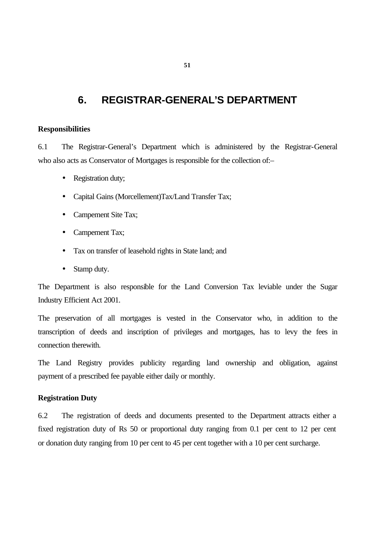# **6. REGISTRAR-GENERAL'S DEPARTMENT**

### **Responsibilities**

6.1 The Registrar-General's Department which is administered by the Registrar-General who also acts as Conservator of Mortgages is responsible for the collection of:-

- Registration duty;
- Capital Gains (Morcellement)Tax/Land Transfer Tax;
- Campement Site Tax;
- Campement Tax;
- Tax on transfer of leasehold rights in State land; and
- Stamp duty.

The Department is also responsible for the Land Conversion Tax leviable under the Sugar Industry Efficient Act 2001.

The preservation of all mortgages is vested in the Conservator who, in addition to the transcription of deeds and inscription of privileges and mortgages, has to levy the fees in connection therewith.

The Land Registry provides publicity regarding land ownership and obligation, against payment of a prescribed fee payable either daily or monthly.

### **Registration Duty**

6.2 The registration of deeds and documents presented to the Department attracts either a fixed registration duty of Rs 50 or proportional duty ranging from 0.1 per cent to 12 per cent or donation duty ranging from 10 per cent to 45 per cent together with a 10 per cent surcharge.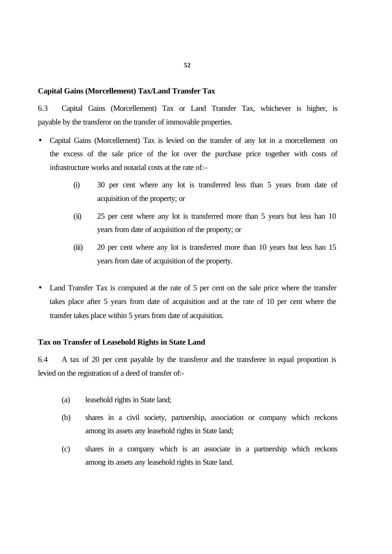### **Capital Gains (Morcellement) Tax/Land Transfer Tax**

6.3 Capital Gains (Morcellement) Tax or Land Transfer Tax, whichever is higher, is payable by the transferor on the transfer of immovable properties.

- Capital Gains (Morcellement) Tax is levied on the transfer of any lot in a morcellement on the excess of the sale price of the lot over the purchase price together with costs of infrastructure works and notarial costs at the rate of:–
	- (i) 30 per cent where any lot is transferred less than 5 years from date of acquisition of the property; or
	- (ii) 25 per cent where any lot is transferred more than 5 years but less han 10 years from date of acquisition of the property; or
	- (iii) 20 per cent where any lot is transferred more than 10 years but less han 15 years from date of acquisition of the property.
- Land Transfer Tax is computed at the rate of 5 per cent on the sale price where the transfer takes place after 5 years from date of acquisition and at the rate of 10 per cent where the transfer takes place within 5 years from date of acquisition.

# **Tax on Transfer of Leasehold Rights in State Land**

6.4 A tax of 20 per cent payable by the transferor and the transferee in equal proportion is levied on the registration of a deed of transfer of:-

- (a) leasehold rights in State land;
- (b) shares in a civil society, partnership, association or company which reckons among its assets any leasehold rights in State land;
- (c) shares in a company which is an associate in a partnership which reckons among its assets any leasehold rights in State land.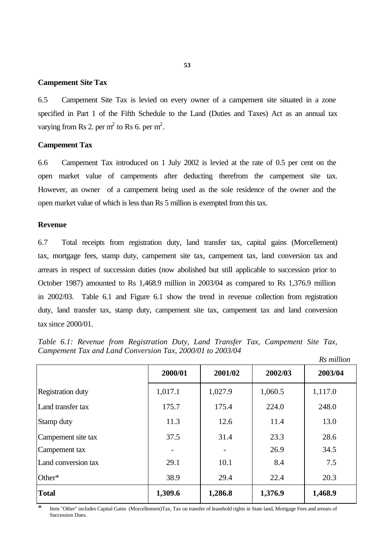# **Campement Site Tax**

6.5 Campement Site Tax is levied on every owner of a campement site situated in a zone specified in Part 1 of the Fifth Schedule to the Land (Duties and Taxes) Act as an annual tax varying from Rs 2. per  $m^2$  to Rs 6. per  $m^2$ .

### **Campement Tax**

6.6 Campement Tax introduced on 1 July 2002 is levied at the rate of 0.5 per cent on the open market value of campements after deducting therefrom the campement site tax. However, an owner of a campement being used as the sole residence of the owner and the open market value of which is less than Rs 5 million is exempted from this tax.

### **Revenue**

6.7 Total receipts from registration duty, land transfer tax, capital gains (Morcellement) tax, mortgage fees, stamp duty, campement site tax, campement tax, land conversion tax and arrears in respect of succession duties (now abolished but still applicable to succession prior to October 1987) amounted to Rs 1,468.9 million in 2003/04 as compared to Rs 1,376.9 million in 2002/03. Table 6.1 and Figure 6.1 show the trend in revenue collection from registration duty, land transfer tax, stamp duty, campement site tax, campement tax and land conversion tax since 2000/01.

*Table 6.1: Revenue from Registration Duty, Land Transfer Tax, Campement Site Tax, Campement Tax and Land Conversion Tax, 2000/01 to 2003/04 Rs million*

|                          |         |         |         | 1 W 11 <i>vvvvv</i> v |
|--------------------------|---------|---------|---------|-----------------------|
|                          | 2000/01 | 2001/02 | 2002/03 | 2003/04               |
| <b>Registration duty</b> | 1,017.1 | 1,027.9 | 1,060.5 | 1,117.0               |
| Land transfer tax        | 175.7   | 175.4   | 224.0   | 248.0                 |
| Stamp duty               | 11.3    | 12.6    | 11.4    | 13.0                  |
| Campement site tax       | 37.5    | 31.4    | 23.3    | 28.6                  |
| Campement tax            |         |         | 26.9    | 34.5                  |
| Land conversion tax      | 29.1    | 10.1    | 8.4     | 7.5                   |
| Other*                   | 38.9    | 29.4    | 22.4    | 20.3                  |
| <b>Total</b>             | 1,309.6 | 1,286.8 | 1,376.9 | 1,468.9               |

\* Item "Other" includes Capital Gains (Morcellement)Tax, Tax on transfer of leasehold rights in State land, Mortgage Fees and arrears of Succession Dues.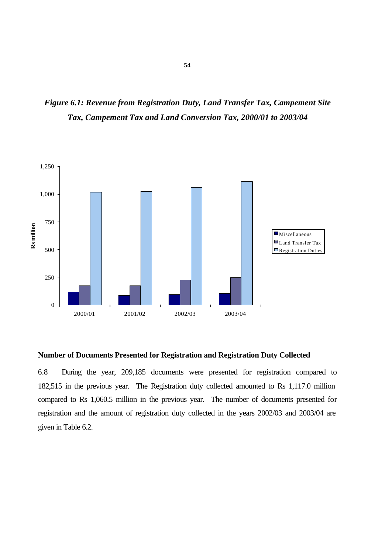*Figure 6.1: Revenue from Registration Duty, Land Transfer Tax, Campement Site Tax, Campement Tax and Land Conversion Tax, 2000/01 to 2003/04*



# **Number of Documents Presented for Registration and Registration Duty Collected**

6.8 During the year, 209,185 documents were presented for registration compared to 182,515 in the previous year. The Registration duty collected amounted to Rs 1,117.0 million compared to Rs 1,060.5 million in the previous year. The number of documents presented for registration and the amount of registration duty collected in the years 2002/03 and 2003/04 are given in Table 6.2.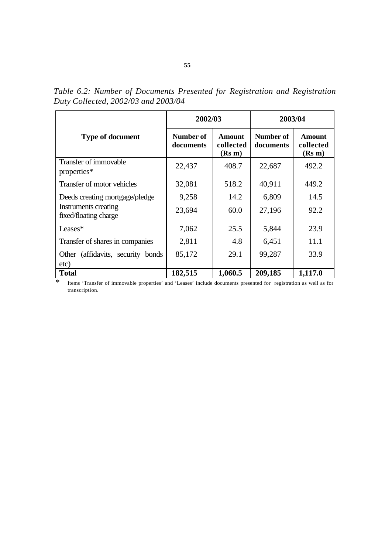|                                               | 2002/03                |                               | 2003/04                |                               |  |
|-----------------------------------------------|------------------------|-------------------------------|------------------------|-------------------------------|--|
| <b>Type of document</b>                       | Number of<br>documents | Amount<br>collected<br>(Rs m) | Number of<br>documents | Amount<br>collected<br>(Rs m) |  |
| Transfer of immovable<br>properties*          | 22,437                 | 408.7                         | 22,687                 | 492.2                         |  |
| Transfer of motor vehicles                    | 32,081                 | 518.2                         | 40,911                 | 449.2                         |  |
| Deeds creating mortgage/pledge                | 9,258                  | 14.2                          | 6,809                  | 14.5                          |  |
| Instruments creating<br>fixed/floating charge | 23,694                 | 60.0                          | 27,196                 | 92.2                          |  |
| Leases $*$                                    | 7,062                  | 25.5                          | 5,844                  | 23.9                          |  |
| Transfer of shares in companies               | 2,811                  | 4.8                           | 6,451                  | 11.1                          |  |
| Other (affidavits, security bonds)            | 85,172                 | 29.1                          | 99,287                 | 33.9                          |  |
| etc)<br><b>Total</b>                          | 182,515                | 1,060.5                       | 209,185                | 1,117.0                       |  |

*Table 6.2: Number of Documents Presented for Registration and Registration Duty Collected, 2002/03 and 2003/04*

\* Items 'Transfer of immovable properties' and 'Leases' include documents presented for registration as well as for transcription.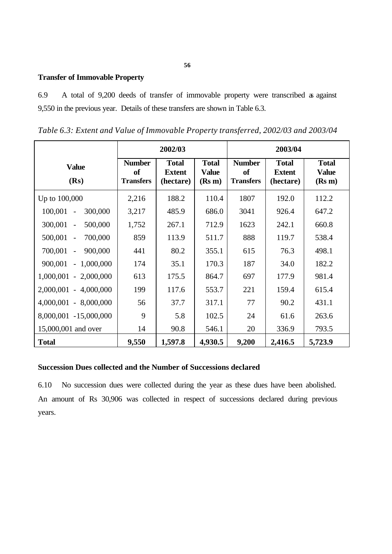# **Transfer of Immovable Property**

6.9 A total of 9,200 deeds of transfer of immovable property were transcribed as against 9,550 in the previous year. Details of these transfers are shown in Table 6.3.

*Table 6.3: Extent and Value of Immovable Property transferred, 2002/03 and 2003/04*

|                                                | 2002/03<br>2003/04                      |                                            |                                        |                                         |                                            |                                        |
|------------------------------------------------|-----------------------------------------|--------------------------------------------|----------------------------------------|-----------------------------------------|--------------------------------------------|----------------------------------------|
| <b>Value</b><br>(Rs)                           | <b>Number</b><br>of<br><b>Transfers</b> | <b>Total</b><br><b>Extent</b><br>(hectare) | <b>Total</b><br><b>Value</b><br>(Rs m) | <b>Number</b><br>of<br><b>Transfers</b> | <b>Total</b><br><b>Extent</b><br>(hectare) | <b>Total</b><br><b>Value</b><br>(Rs m) |
| Up to 100,000                                  | 2,216                                   | 188.2                                      | 110.4                                  | 1807                                    | 192.0                                      | 112.2                                  |
| 100,001<br>300,000<br>$\overline{a}$           | 3,217                                   | 485.9                                      | 686.0                                  | 3041                                    | 926.4                                      | 647.2                                  |
| 300,001<br>500,000<br>$\overline{\phantom{a}}$ | 1,752                                   | 267.1                                      | 712.9                                  | 1623                                    | 242.1                                      | 660.8                                  |
| 500,001<br>700,000<br>$\overline{a}$           | 859                                     | 113.9                                      | 511.7                                  | 888                                     | 119.7                                      | 538.4                                  |
| 700,001<br>900,000<br>$\blacksquare$           | 441                                     | 80.2                                       | 355.1                                  | 615                                     | 76.3                                       | 498.1                                  |
| $-1,000,000$<br>900,001                        | 174                                     | 35.1                                       | 170.3                                  | 187                                     | 34.0                                       | 182.2                                  |
| $1,000,001 - 2,000,000$                        | 613                                     | 175.5                                      | 864.7                                  | 697                                     | 177.9                                      | 981.4                                  |
| $2,000,001 - 4,000,000$                        | 199                                     | 117.6                                      | 553.7                                  | 221                                     | 159.4                                      | 615.4                                  |
| $4,000,001 - 8,000,000$                        | 56                                      | 37.7                                       | 317.1                                  | 77                                      | 90.2                                       | 431.1                                  |
| 8,000,001 -15,000,000                          | 9                                       | 5.8                                        | 102.5                                  | 24                                      | 61.6                                       | 263.6                                  |
| 15,000,001 and over                            | 14                                      | 90.8                                       | 546.1                                  | 20                                      | 336.9                                      | 793.5                                  |
| <b>Total</b>                                   | 9,550                                   | 1,597.8                                    | 4,930.5                                | 9,200                                   | 2,416.5                                    | 5,723.9                                |

# **Succession Dues collected and the Number of Successions declared**

6.10 No succession dues were collected during the year as these dues have been abolished. An amount of Rs 30,906 was collected in respect of successions declared during previous years.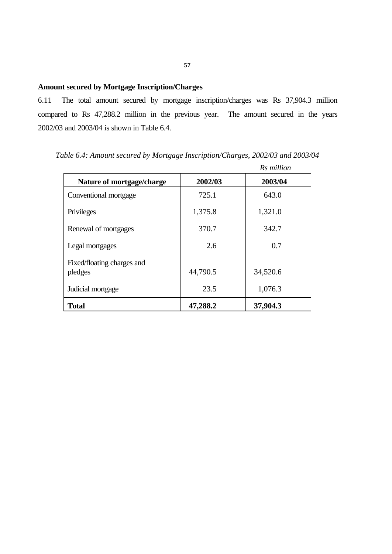# **Amount secured by Mortgage Inscription/Charges**

6.11 The total amount secured by mortgage inscription/charges was Rs 37,904.3 million compared to Rs 47,288.2 million in the previous year. The amount secured in the years 2002/03 and 2003/04 is shown in Table 6.4.

|                                       |          | Rs million |
|---------------------------------------|----------|------------|
| Nature of mortgage/charge             | 2002/03  | 2003/04    |
| Conventional mortgage                 | 725.1    | 643.0      |
| Privileges                            | 1,375.8  | 1,321.0    |
| Renewal of mortgages                  | 370.7    | 342.7      |
| Legal mortgages                       | 2.6      | 0.7        |
| Fixed/floating charges and<br>pledges | 44,790.5 | 34,520.6   |
| Judicial mortgage                     | 23.5     | 1,076.3    |
| <b>Total</b>                          | 47,288.2 | 37,904.3   |

*Table 6.4: Amount secured by Mortgage Inscription/Charges, 2002/03 and 2003/04*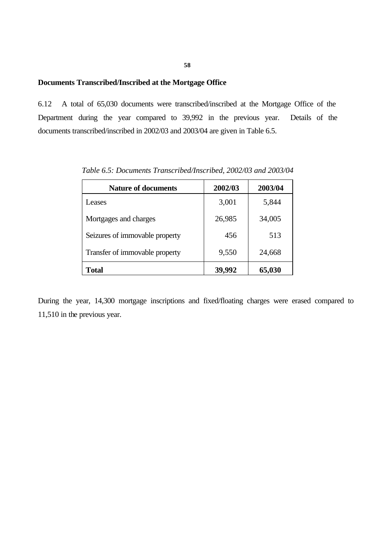### **Documents Transcribed/Inscribed at the Mortgage Office**

6.12 A total of 65,030 documents were transcribed/inscribed at the Mortgage Office of the Department during the year compared to 39,992 in the previous year. Details of the documents transcribed/inscribed in 2002/03 and 2003/04 are given in Table 6.5.

| <b>Nature of documents</b>     | 2002/03 | 2003/04 |
|--------------------------------|---------|---------|
| Leases                         | 3,001   | 5,844   |
| Mortgages and charges          | 26,985  | 34,005  |
| Seizures of immovable property | 456     | 513     |
| Transfer of immovable property | 9,550   | 24,668  |
| <b>Total</b>                   | 39,992  | 65,030  |

*Table 6.5: Documents Transcribed/Inscribed, 2002/03 and 2003/04*

During the year, 14,300 mortgage inscriptions and fixed/floating charges were erased compared to 11,510 in the previous year.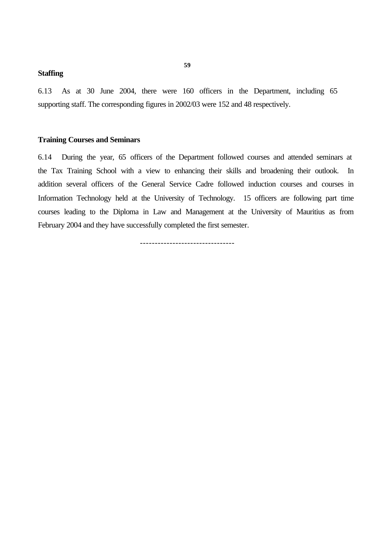### **Staffing**

6.13 As at 30 June 2004, there were 160 officers in the Department, including 65 supporting staff. The corresponding figures in 2002/03 were 152 and 48 respectively.

### **Training Courses and Seminars**

6.14 During the year, 65 officers of the Department followed courses and attended seminars at the Tax Training School with a view to enhancing their skills and broadening their outlook. In addition several officers of the General Service Cadre followed induction courses and courses in Information Technology held at the University of Technology. 15 officers are following part time courses leading to the Diploma in Law and Management at the University of Mauritius as from February 2004 and they have successfully completed the first semester.

--------------------------------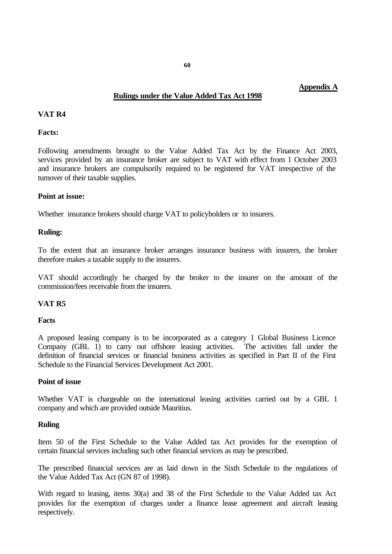# **Rulings under the Value Added Tax Act 1998**

# **VAT R4**

### **Facts:**

Following amendments brought to the Value Added Tax Act by the Finance Act 2003, services provided by an insurance broker are subject to VAT with effect from 1 October 2003 and insurance brokers are compulsorily required to be registered for VAT irrespective of the turnover of their taxable supplies.

### **Point at issue:**

Whether insurance brokers should charge VAT to policyholders or to insurers.

### **Ruling:**

To the extent that an insurance broker arranges insurance business with insurers, the broker therefore makes a taxable supply to the insurers.

VAT should accordingly be charged by the broker to the insurer on the amount of the commission/fees receivable from the insurers.

### **VAT R5**

### **Facts**

A proposed leasing company is to be incorporated as a category 1 Global Business Licence Company (GBL 1) to carry out offshore leasing activities. The activities fall under the definition of financial services or financial business activities as specified in Part II of the First Schedule to the Financial Services Development Act 2001.

### **Point of issue**

Whether VAT is chargeable on the international leasing activities carried out by a GBL 1 company and which are provided outside Mauritius.

#### **Ruling**

Item 50 of the First Schedule to the Value Added tax Act provides for the exemption of certain financial services including such other financial services as may be prescribed.

The prescribed financial services are as laid down in the Sixth Schedule to the regulations of the Value Added Tax Act (GN 87 of 1998).

With regard to leasing, items 30(a) and 38 of the First Schedule to the Value Added tax Act provides for the exemption of charges under a finance lease agreement and aircraft leasing respectively.

**Appendix A**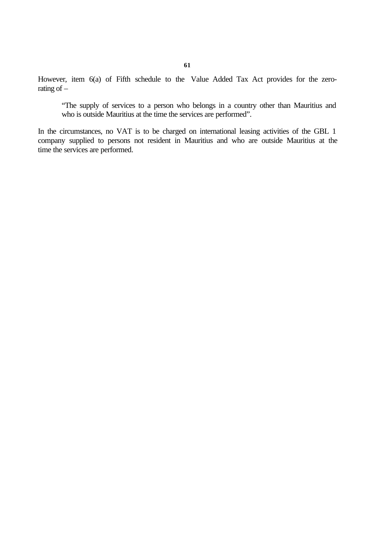However, item 6(a) of Fifth schedule to the Value Added Tax Act provides for the zerorating of –

"The supply of services to a person who belongs in a country other than Mauritius and who is outside Mauritius at the time the services are performed".

In the circumstances, no VAT is to be charged on international leasing activities of the GBL 1 company supplied to persons not resident in Mauritius and who are outside Mauritius at the time the services are performed.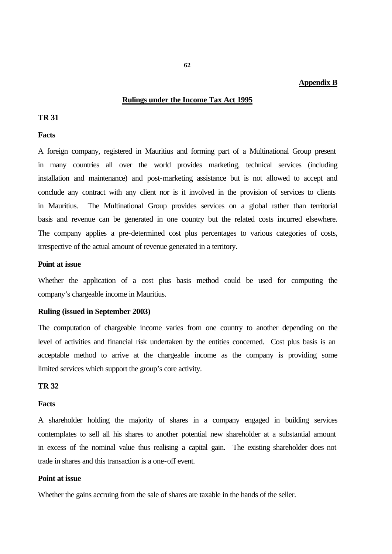### **Appendix B**

### **Rulings under the Income Tax Act 1995**

# **TR 31**

### **Facts**

A foreign company, registered in Mauritius and forming part of a Multinational Group present in many countries all over the world provides marketing, technical services (including installation and maintenance) and post-marketing assistance but is not allowed to accept and conclude any contract with any client nor is it involved in the provision of services to clients in Mauritius. The Multinational Group provides services on a global rather than territorial basis and revenue can be generated in one country but the related costs incurred elsewhere. The company applies a pre-determined cost plus percentages to various categories of costs, irrespective of the actual amount of revenue generated in a territory.

### **Point at issue**

Whether the application of a cost plus basis method could be used for computing the company's chargeable income in Mauritius.

### **Ruling (issued in September 2003)**

The computation of chargeable income varies from one country to another depending on the level of activities and financial risk undertaken by the entities concerned. Cost plus basis is an acceptable method to arrive at the chargeable income as the company is providing some limited services which support the group's core activity.

# **TR 32**

### **Facts**

A shareholder holding the majority of shares in a company engaged in building services contemplates to sell all his shares to another potential new shareholder at a substantial amount in excess of the nominal value thus realising a capital gain. The existing shareholder does not trade in shares and this transaction is a one-off event.

### **Point at issue**

Whether the gains accruing from the sale of shares are taxable in the hands of the seller.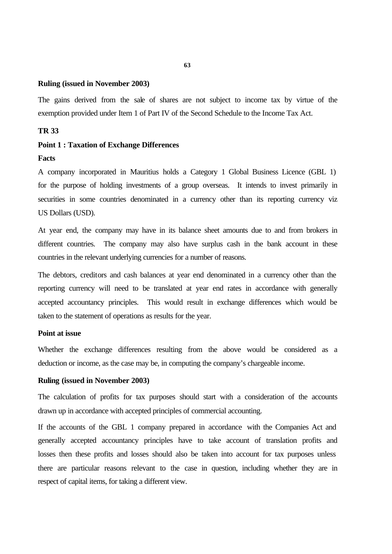### **Ruling (issued in November 2003)**

The gains derived from the sale of shares are not subject to income tax by virtue of the exemption provided under Item 1 of Part IV of the Second Schedule to the Income Tax Act.

### **TR 33**

### **Point 1 : Taxation of Exchange Differences**

#### **Facts**

A company incorporated in Mauritius holds a Category 1 Global Business Licence (GBL 1) for the purpose of holding investments of a group overseas. It intends to invest primarily in securities in some countries denominated in a currency other than its reporting currency viz US Dollars (USD).

At year end, the company may have in its balance sheet amounts due to and from brokers in different countries. The company may also have surplus cash in the bank account in these countries in the relevant underlying currencies for a number of reasons.

The debtors, creditors and cash balances at year end denominated in a currency other than the reporting currency will need to be translated at year end rates in accordance with generally accepted accountancy principles. This would result in exchange differences which would be taken to the statement of operations as results for the year.

### **Point at issue**

Whether the exchange differences resulting from the above would be considered as a deduction or income, as the case may be, in computing the company's chargeable income.

### **Ruling (issued in November 2003)**

The calculation of profits for tax purposes should start with a consideration of the accounts drawn up in accordance with accepted principles of commercial accounting.

If the accounts of the GBL 1 company prepared in accordance with the Companies Act and generally accepted accountancy principles have to take account of translation profits and losses then these profits and losses should also be taken into account for tax purposes unless there are particular reasons relevant to the case in question, including whether they are in respect of capital items, for taking a different view.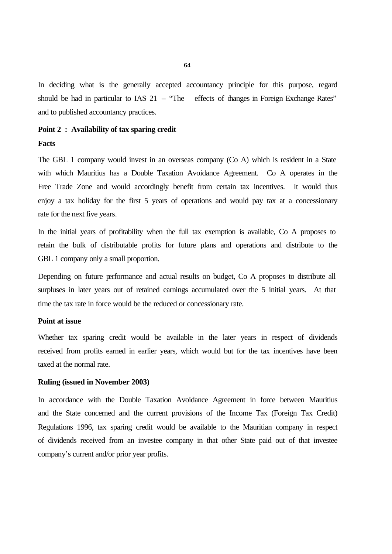In deciding what is the generally accepted accountancy principle for this purpose, regard should be had in particular to IAS  $21 -$  "The effects of changes in Foreign Exchange Rates" and to published accountancy practices.

### **Point 2 : Availability of tax sparing credit**

#### **Facts**

The GBL 1 company would invest in an overseas company (Co A) which is resident in a State with which Mauritius has a Double Taxation Avoidance Agreement. Co A operates in the Free Trade Zone and would accordingly benefit from certain tax incentives. It would thus enjoy a tax holiday for the first 5 years of operations and would pay tax at a concessionary rate for the next five years.

In the initial years of profitability when the full tax exemption is available, Co A proposes to retain the bulk of distributable profits for future plans and operations and distribute to the GBL 1 company only a small proportion.

Depending on future performance and actual results on budget, Co A proposes to distribute all surpluses in later years out of retained earnings accumulated over the 5 initial years. At that time the tax rate in force would be the reduced or concessionary rate.

### **Point at issue**

Whether tax sparing credit would be available in the later years in respect of dividends received from profits earned in earlier years, which would but for the tax incentives have been taxed at the normal rate.

### **Ruling (issued in November 2003)**

In accordance with the Double Taxation Avoidance Agreement in force between Mauritius and the State concerned and the current provisions of the Income Tax (Foreign Tax Credit) Regulations 1996, tax sparing credit would be available to the Mauritian company in respect of dividends received from an investee company in that other State paid out of that investee company's current and/or prior year profits.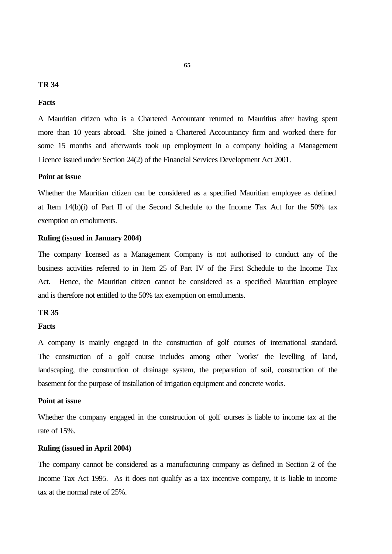# **TR 34**

### **Facts**

A Mauritian citizen who is a Chartered Accountant returned to Mauritius after having spent more than 10 years abroad. She joined a Chartered Accountancy firm and worked there for some 15 months and afterwards took up employment in a company holding a Management Licence issued under Section 24(2) of the Financial Services Development Act 2001.

### **Point at issue**

Whether the Mauritian citizen can be considered as a specified Mauritian employee as defined at Item 14(b)(i) of Part II of the Second Schedule to the Income Tax Act for the 50% tax exemption on emoluments.

# **Ruling (issued in January 2004)**

The company licensed as a Management Company is not authorised to conduct any of the business activities referred to in Item 25 of Part IV of the First Schedule to the Income Tax Act. Hence, the Mauritian citizen cannot be considered as a specified Mauritian employee and is therefore not entitled to the 50% tax exemption on emoluments.

### **TR 35**

### **Facts**

A company is mainly engaged in the construction of golf courses of international standard. The construction of a golf course includes among other `works' the levelling of land, landscaping, the construction of drainage system, the preparation of soil, construction of the basement for the purpose of installation of irrigation equipment and concrete works.

### **Point at issue**

Whether the company engaged in the construction of golf courses is liable to income tax at the rate of 15%.

### **Ruling (issued in April 2004)**

The company cannot be considered as a manufacturing company as defined in Section 2 of the Income Tax Act 1995. As it does not qualify as a tax incentive company, it is liable to income tax at the normal rate of 25%.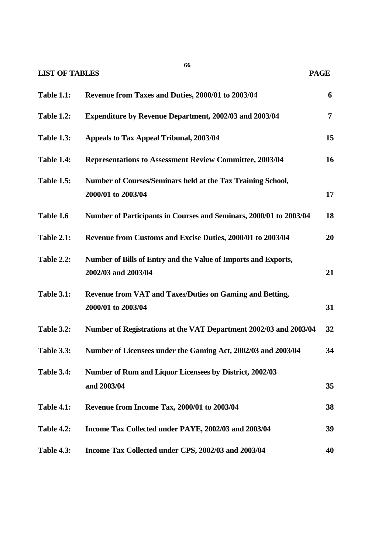**LIST OF TABLES PAGE**

| <b>Table 1.1:</b> | Revenue from Taxes and Duties, 2000/01 to 2003/04                                     | 6              |
|-------------------|---------------------------------------------------------------------------------------|----------------|
| <b>Table 1.2:</b> | <b>Expenditure by Revenue Department, 2002/03 and 2003/04</b>                         | $\overline{7}$ |
| <b>Table 1.3:</b> | Appeals to Tax Appeal Tribunal, 2003/04                                               | 15             |
| <b>Table 1.4:</b> | <b>Representations to Assessment Review Committee, 2003/04</b>                        | 16             |
| <b>Table 1.5:</b> | Number of Courses/Seminars held at the Tax Training School,<br>2000/01 to 2003/04     | 17             |
| Table 1.6         | Number of Participants in Courses and Seminars, 2000/01 to 2003/04                    | 18             |
| <b>Table 2.1:</b> | Revenue from Customs and Excise Duties, 2000/01 to 2003/04                            | 20             |
| <b>Table 2.2:</b> | Number of Bills of Entry and the Value of Imports and Exports,<br>2002/03 and 2003/04 | 21             |
| <b>Table 3.1:</b> | <b>Revenue from VAT and Taxes/Duties on Gaming and Betting,</b><br>2000/01 to 2003/04 | 31             |
| <b>Table 3.2:</b> | Number of Registrations at the VAT Department 2002/03 and 2003/04                     | 32             |
| <b>Table 3.3:</b> | Number of Licensees under the Gaming Act, 2002/03 and 2003/04                         | 34             |
| <b>Table 3.4:</b> | Number of Rum and Liquor Licensees by District, 2002/03<br>and 2003/04                | 35             |
| <b>Table 4.1:</b> | Revenue from Income Tax, 2000/01 to 2003/04                                           | 38             |
| <b>Table 4.2:</b> | Income Tax Collected under PAYE, 2002/03 and 2003/04                                  | 39             |
| <b>Table 4.3:</b> | Income Tax Collected under CPS, 2002/03 and 2003/04                                   | 40             |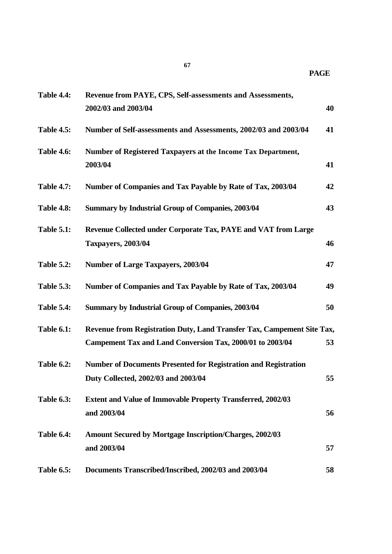| <b>Table 4.4:</b> | Revenue from PAYE, CPS, Self-assessments and Assessments,                                                                           |    |
|-------------------|-------------------------------------------------------------------------------------------------------------------------------------|----|
|                   | 2002/03 and 2003/04                                                                                                                 | 40 |
| <b>Table 4.5:</b> | Number of Self-assessments and Assessments, 2002/03 and 2003/04                                                                     | 41 |
| <b>Table 4.6:</b> | Number of Registered Taxpayers at the Income Tax Department,<br>2003/04                                                             | 41 |
| <b>Table 4.7:</b> | Number of Companies and Tax Payable by Rate of Tax, 2003/04                                                                         | 42 |
| <b>Table 4.8:</b> | <b>Summary by Industrial Group of Companies, 2003/04</b>                                                                            | 43 |
| <b>Table 5.1:</b> | Revenue Collected under Corporate Tax, PAYE and VAT from Large<br><b>Taxpayers, 2003/04</b>                                         | 46 |
| <b>Table 5.2:</b> | <b>Number of Large Taxpayers, 2003/04</b>                                                                                           | 47 |
| <b>Table 5.3:</b> | Number of Companies and Tax Payable by Rate of Tax, 2003/04                                                                         | 49 |
| <b>Table 5.4:</b> | <b>Summary by Industrial Group of Companies, 2003/04</b>                                                                            | 50 |
| <b>Table 6.1:</b> | Revenue from Registration Duty, Land Transfer Tax, Campement Site Tax,<br>Campement Tax and Land Conversion Tax, 2000/01 to 2003/04 | 53 |
| <b>Table 6.2:</b> | <b>Number of Documents Presented for Registration and Registration</b><br>Duty Collected, 2002/03 and 2003/04                       | 55 |
| <b>Table 6.3:</b> | <b>Extent and Value of Immovable Property Transferred, 2002/03</b><br>and 2003/04                                                   | 56 |
| <b>Table 6.4:</b> | <b>Amount Secured by Mortgage Inscription/Charges, 2002/03</b><br>and 2003/04                                                       | 57 |
| <b>Table 6.5:</b> | Documents Transcribed/Inscribed, 2002/03 and 2003/04                                                                                | 58 |